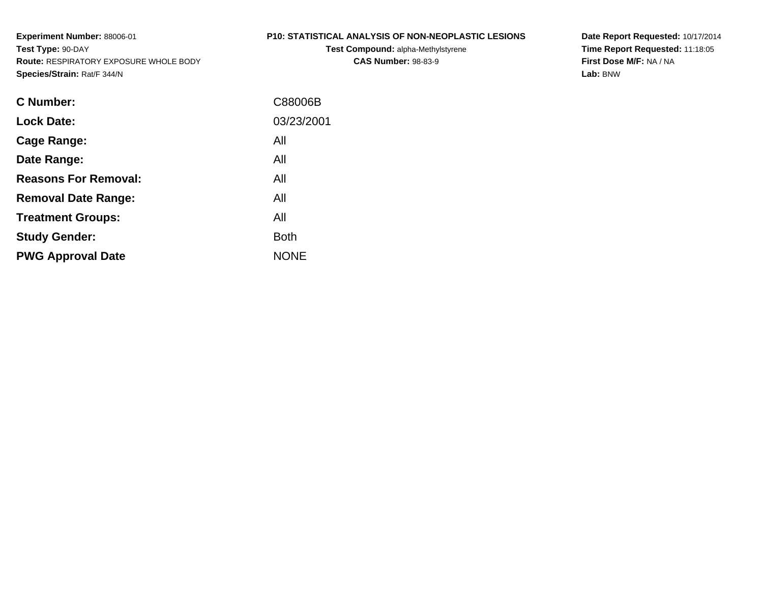#### **P10: STATISTICAL ANALYSIS OF NON-NEOPLASTIC LESIONS**

**Test Compound:** alpha-Methylstyrene**CAS Number:** 98-83-9

**Date Report Requested:** 10/17/2014 **Time Report Requested:** 11:18:05**First Dose M/F:** NA / NA**Lab:** BNW

| <b>C</b> Number:            | C88006B     |
|-----------------------------|-------------|
| <b>Lock Date:</b>           | 03/23/2001  |
| Cage Range:                 | All         |
| Date Range:                 | All         |
| <b>Reasons For Removal:</b> | All         |
| <b>Removal Date Range:</b>  | All         |
| <b>Treatment Groups:</b>    | All         |
| <b>Study Gender:</b>        | <b>Both</b> |
| <b>PWG Approval Date</b>    | <b>NONE</b> |
|                             |             |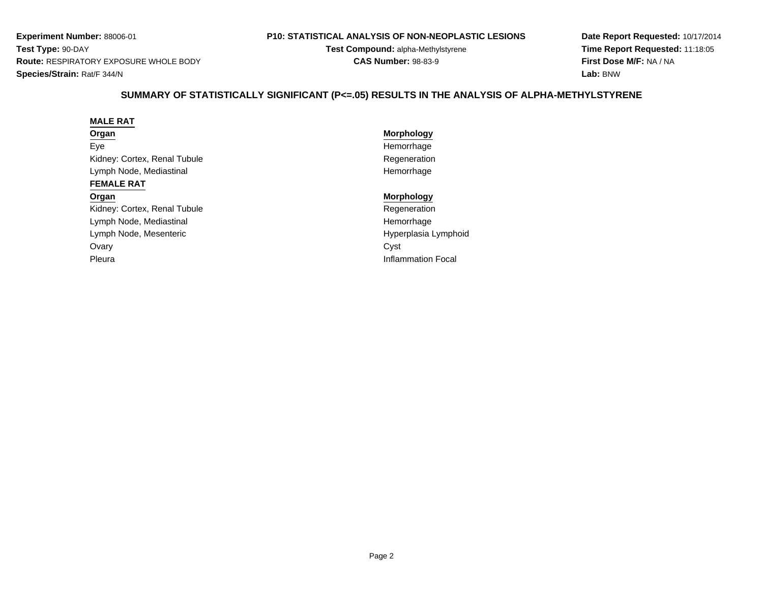#### **P10: STATISTICAL ANALYSIS OF NON-NEOPLASTIC LESIONS**

**Test Compound:** alpha-Methylstyrene**CAS Number:** 98-83-9

**Date Report Requested:** 10/17/2014**Time Report Requested:** 11:18:05**First Dose M/F:** NA / NA**Lab:** BNW

# **SUMMARY OF STATISTICALLY SIGNIFICANT (P<=.05) RESULTS IN THE ANALYSIS OF ALPHA-METHYLSTYRENE**

#### **MALE RAT**

#### **Organ**

EyeKidney: Cortex, Renal TubuleLymph Node, Mediastinal

#### **FEMALE RAT**

#### **Organ**

Kidney: Cortex, Renal TubuleLymph Node, MediastinalLymph Node, Mesenteric**Ovary** y contract the contract of the contract of the contract of the contract of the contract of the contract of the contract of the contract of the contract of the contract of the contract of the contract of the contract of the Pleura

# **Morphology** Hemorrhage Regeneration Hemorrhage

#### **Morphology**

 Regeneration Hemorrhage Hyperplasia LymphoidInflammation Focal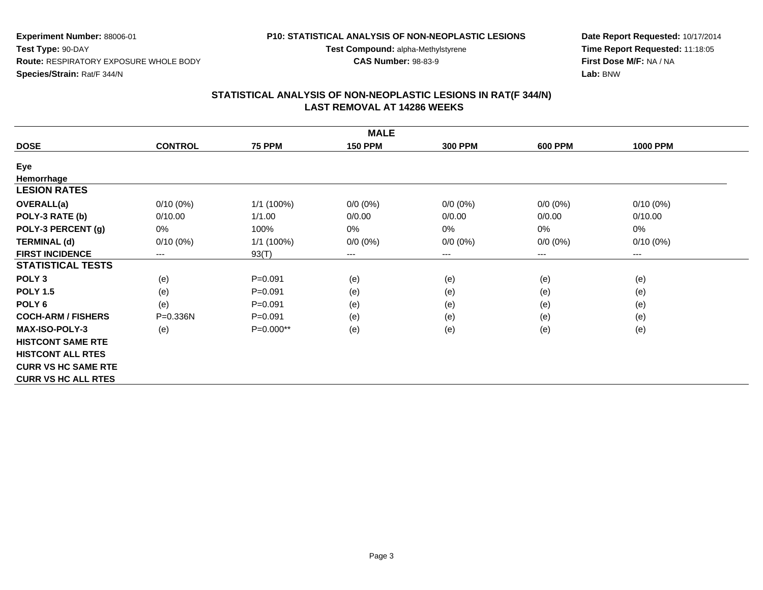#### **P10: STATISTICAL ANALYSIS OF NON-NEOPLASTIC LESIONS**

**Test Compound:** alpha-Methylstyrene

**CAS Number:** 98-83-9

**Date Report Requested:** 10/17/2014**Time Report Requested:** 11:18:05**First Dose M/F:** NA / NA**Lab:** BNW

| <b>MALE</b>                |                |               |                |                |                |                     |  |  |  |  |
|----------------------------|----------------|---------------|----------------|----------------|----------------|---------------------|--|--|--|--|
| <b>DOSE</b>                | <b>CONTROL</b> | <b>75 PPM</b> | <b>150 PPM</b> | <b>300 PPM</b> | <b>600 PPM</b> | <b>1000 PPM</b>     |  |  |  |  |
| Eye                        |                |               |                |                |                |                     |  |  |  |  |
| Hemorrhage                 |                |               |                |                |                |                     |  |  |  |  |
| <b>LESION RATES</b>        |                |               |                |                |                |                     |  |  |  |  |
| <b>OVERALL(a)</b>          | $0/10(0\%)$    | 1/1 (100%)    | $0/0 (0\%)$    | $0/0 (0\%)$    | $0/0 (0\%)$    | $0/10(0\%)$         |  |  |  |  |
| POLY-3 RATE (b)            | 0/10.00        | 1/1.00        | 0/0.00         | 0/0.00         | 0/0.00         | 0/10.00             |  |  |  |  |
| POLY-3 PERCENT (g)         | 0%             | 100%          | $0\%$          | 0%             | $0\%$          | 0%                  |  |  |  |  |
| <b>TERMINAL (d)</b>        | $0/10(0\%)$    | 1/1(100%)     | $0/0 (0\%)$    | $0/0 (0\%)$    | $0/0 (0\%)$    | $0/10(0\%)$         |  |  |  |  |
| <b>FIRST INCIDENCE</b>     | $---$          | 93(T)         | ---            | ---            | ---            | $\qquad \qquad - -$ |  |  |  |  |
| <b>STATISTICAL TESTS</b>   |                |               |                |                |                |                     |  |  |  |  |
| POLY <sub>3</sub>          | (e)            | $P = 0.091$   | (e)            | (e)            | (e)            | (e)                 |  |  |  |  |
| <b>POLY 1.5</b>            | (e)            | $P = 0.091$   | (e)            | (e)            | (e)            | (e)                 |  |  |  |  |
| POLY <sub>6</sub>          | (e)            | $P = 0.091$   | (e)            | (e)            | (e)            | (e)                 |  |  |  |  |
| <b>COCH-ARM / FISHERS</b>  | $P = 0.336N$   | $P = 0.091$   | (e)            | (e)            | (e)            | (e)                 |  |  |  |  |
| <b>MAX-ISO-POLY-3</b>      | (e)            | P=0.000**     | (e)            | (e)            | (e)            | (e)                 |  |  |  |  |
| <b>HISTCONT SAME RTE</b>   |                |               |                |                |                |                     |  |  |  |  |
| <b>HISTCONT ALL RTES</b>   |                |               |                |                |                |                     |  |  |  |  |
| <b>CURR VS HC SAME RTE</b> |                |               |                |                |                |                     |  |  |  |  |
| <b>CURR VS HC ALL RTES</b> |                |               |                |                |                |                     |  |  |  |  |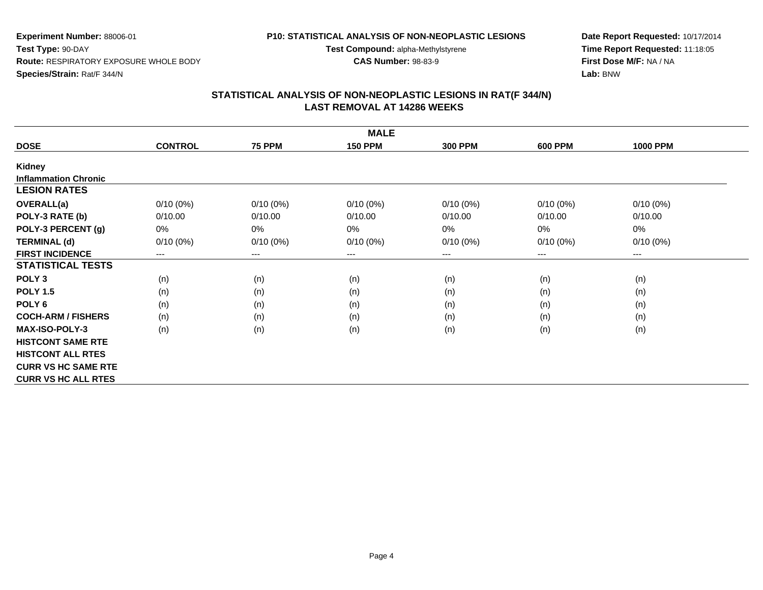#### **P10: STATISTICAL ANALYSIS OF NON-NEOPLASTIC LESIONS**

**Test Compound:** alpha-Methylstyrene

**CAS Number:** 98-83-9

**Date Report Requested:** 10/17/2014**Time Report Requested:** 11:18:05**First Dose M/F:** NA / NA**Lab:** BNW

| <b>MALE</b>                 |                |               |                |                |                |                 |  |  |  |
|-----------------------------|----------------|---------------|----------------|----------------|----------------|-----------------|--|--|--|
| <b>DOSE</b>                 | <b>CONTROL</b> | <b>75 PPM</b> | <b>150 PPM</b> | <b>300 PPM</b> | <b>600 PPM</b> | <b>1000 PPM</b> |  |  |  |
| Kidney                      |                |               |                |                |                |                 |  |  |  |
| <b>Inflammation Chronic</b> |                |               |                |                |                |                 |  |  |  |
| <b>LESION RATES</b>         |                |               |                |                |                |                 |  |  |  |
| <b>OVERALL(a)</b>           | $0/10(0\%)$    | $0/10(0\%)$   | $0/10(0\%)$    | $0/10(0\%)$    | $0/10(0\%)$    | $0/10(0\%)$     |  |  |  |
| POLY-3 RATE (b)             | 0/10.00        | 0/10.00       | 0/10.00        | 0/10.00        | 0/10.00        | 0/10.00         |  |  |  |
| POLY-3 PERCENT (g)          | 0%             | 0%            | 0%             | 0%             | 0%             | 0%              |  |  |  |
| <b>TERMINAL (d)</b>         | $0/10(0\%)$    | $0/10(0\%)$   | $0/10(0\%)$    | $0/10(0\%)$    | $0/10(0\%)$    | $0/10(0\%)$     |  |  |  |
| <b>FIRST INCIDENCE</b>      | $--$           | $---$         | ---            | $---$          | $---$          | $---$           |  |  |  |
| <b>STATISTICAL TESTS</b>    |                |               |                |                |                |                 |  |  |  |
| POLY <sub>3</sub>           | (n)            | (n)           | (n)            | (n)            | (n)            | (n)             |  |  |  |
| <b>POLY 1.5</b>             | (n)            | (n)           | (n)            | (n)            | (n)            | (n)             |  |  |  |
| POLY <sub>6</sub>           | (n)            | (n)           | (n)            | (n)            | (n)            | (n)             |  |  |  |
| <b>COCH-ARM / FISHERS</b>   | (n)            | (n)           | (n)            | (n)            | (n)            | (n)             |  |  |  |
| <b>MAX-ISO-POLY-3</b>       | (n)            | (n)           | (n)            | (n)            | (n)            | (n)             |  |  |  |
| <b>HISTCONT SAME RTE</b>    |                |               |                |                |                |                 |  |  |  |
| <b>HISTCONT ALL RTES</b>    |                |               |                |                |                |                 |  |  |  |
| <b>CURR VS HC SAME RTE</b>  |                |               |                |                |                |                 |  |  |  |
| <b>CURR VS HC ALL RTES</b>  |                |               |                |                |                |                 |  |  |  |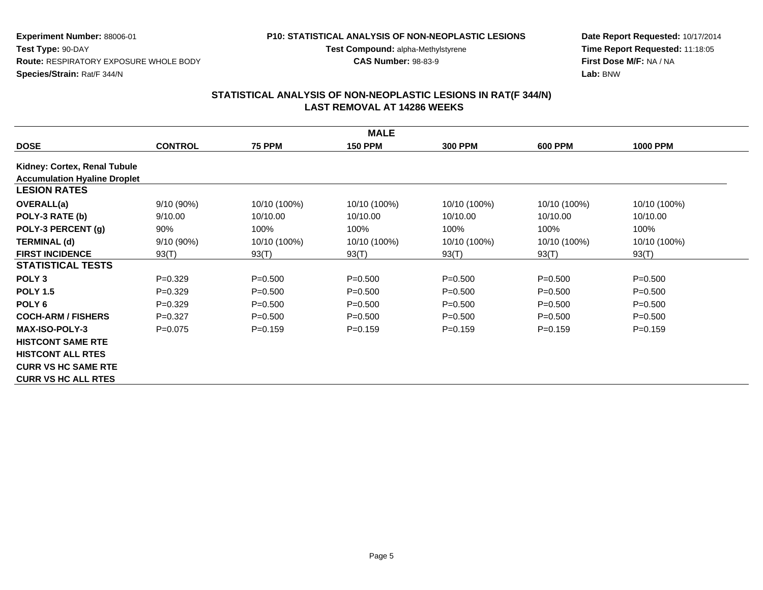#### **P10: STATISTICAL ANALYSIS OF NON-NEOPLASTIC LESIONS**

**Test Compound:** alpha-Methylstyrene

**CAS Number:** 98-83-9

**Date Report Requested:** 10/17/2014**Time Report Requested:** 11:18:05**First Dose M/F:** NA / NA**Lab:** BNW

|                                     | <b>MALE</b>    |               |                |                |                |                 |  |  |  |  |
|-------------------------------------|----------------|---------------|----------------|----------------|----------------|-----------------|--|--|--|--|
| <b>DOSE</b>                         | <b>CONTROL</b> | <b>75 PPM</b> | <b>150 PPM</b> | <b>300 PPM</b> | <b>600 PPM</b> | <b>1000 PPM</b> |  |  |  |  |
| Kidney: Cortex, Renal Tubule        |                |               |                |                |                |                 |  |  |  |  |
| <b>Accumulation Hyaline Droplet</b> |                |               |                |                |                |                 |  |  |  |  |
| <b>LESION RATES</b>                 |                |               |                |                |                |                 |  |  |  |  |
| <b>OVERALL(a)</b>                   | 9/10(90%)      | 10/10 (100%)  | 10/10 (100%)   | 10/10 (100%)   | 10/10 (100%)   | 10/10 (100%)    |  |  |  |  |
| POLY-3 RATE (b)                     | 9/10.00        | 10/10.00      | 10/10.00       | 10/10.00       | 10/10.00       | 10/10.00        |  |  |  |  |
| POLY-3 PERCENT (g)                  | 90%            | 100%          | 100%           | 100%           | 100%           | 100%            |  |  |  |  |
| <b>TERMINAL (d)</b>                 | 9/10(90%)      | 10/10 (100%)  | 10/10 (100%)   | 10/10 (100%)   | 10/10 (100%)   | 10/10 (100%)    |  |  |  |  |
| <b>FIRST INCIDENCE</b>              | 93(T)          | 93(T)         | 93(T)          | 93(T)          | 93(T)          | 93(T)           |  |  |  |  |
| <b>STATISTICAL TESTS</b>            |                |               |                |                |                |                 |  |  |  |  |
| POLY <sub>3</sub>                   | $P=0.329$      | $P = 0.500$   | $P = 0.500$    | $P = 0.500$    | $P = 0.500$    | $P = 0.500$     |  |  |  |  |
| <b>POLY 1.5</b>                     | $P=0.329$      | $P = 0.500$   | $P = 0.500$    | $P = 0.500$    | $P = 0.500$    | $P = 0.500$     |  |  |  |  |
| POLY <sub>6</sub>                   | $P=0.329$      | $P = 0.500$   | $P = 0.500$    | $P = 0.500$    | $P = 0.500$    | $P = 0.500$     |  |  |  |  |
| <b>COCH-ARM / FISHERS</b>           | $P=0.327$      | $P = 0.500$   | $P = 0.500$    | $P = 0.500$    | $P = 0.500$    | $P = 0.500$     |  |  |  |  |
| <b>MAX-ISO-POLY-3</b>               | $P=0.075$      | $P = 0.159$   | $P=0.159$      | $P=0.159$      | $P = 0.159$    | $P = 0.159$     |  |  |  |  |
| <b>HISTCONT SAME RTE</b>            |                |               |                |                |                |                 |  |  |  |  |
| <b>HISTCONT ALL RTES</b>            |                |               |                |                |                |                 |  |  |  |  |
| <b>CURR VS HC SAME RTE</b>          |                |               |                |                |                |                 |  |  |  |  |
| <b>CURR VS HC ALL RTES</b>          |                |               |                |                |                |                 |  |  |  |  |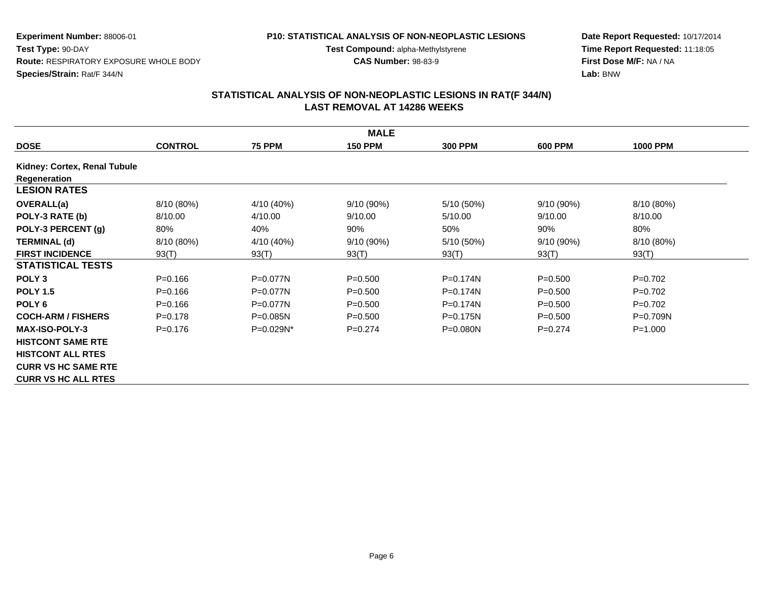#### **P10: STATISTICAL ANALYSIS OF NON-NEOPLASTIC LESIONS**

**Test Compound:** alpha-Methylstyrene

**CAS Number:** 98-83-9

**Date Report Requested:** 10/17/2014**Time Report Requested:** 11:18:05**First Dose M/F:** NA / NA**Lab:** BNW

|                              | <b>MALE</b>    |               |                |                |                |                 |  |  |  |  |
|------------------------------|----------------|---------------|----------------|----------------|----------------|-----------------|--|--|--|--|
| <b>DOSE</b>                  | <b>CONTROL</b> | <b>75 PPM</b> | <b>150 PPM</b> | <b>300 PPM</b> | <b>600 PPM</b> | <b>1000 PPM</b> |  |  |  |  |
| Kidney: Cortex, Renal Tubule |                |               |                |                |                |                 |  |  |  |  |
| Regeneration                 |                |               |                |                |                |                 |  |  |  |  |
| <b>LESION RATES</b>          |                |               |                |                |                |                 |  |  |  |  |
| <b>OVERALL(a)</b>            | 8/10 (80%)     | 4/10 (40%)    | 9/10 (90%)     | 5/10 (50%)     | 9/10 (90%)     | 8/10 (80%)      |  |  |  |  |
| POLY-3 RATE (b)              | 8/10.00        | 4/10.00       | 9/10.00        | 5/10.00        | 9/10.00        | 8/10.00         |  |  |  |  |
| POLY-3 PERCENT (g)           | 80%            | 40%           | 90%            | 50%            | 90%            | 80%             |  |  |  |  |
| <b>TERMINAL (d)</b>          | 8/10 (80%)     | 4/10 (40%)    | 9/10 (90%)     | 5/10 (50%)     | $9/10(90\%)$   | 8/10 (80%)      |  |  |  |  |
| <b>FIRST INCIDENCE</b>       | 93(T)          | 93(T)         | 93(T)          | 93(T)          | 93(T)          | 93(T)           |  |  |  |  |
| <b>STATISTICAL TESTS</b>     |                |               |                |                |                |                 |  |  |  |  |
| POLY <sub>3</sub>            | $P = 0.166$    | $P=0.077N$    | $P = 0.500$    | $P = 0.174N$   | $P = 0.500$    | $P=0.702$       |  |  |  |  |
| <b>POLY 1.5</b>              | $P = 0.166$    | $P=0.077N$    | $P = 0.500$    | $P = 0.174N$   | $P = 0.500$    | $P=0.702$       |  |  |  |  |
| POLY <sub>6</sub>            | $P = 0.166$    | $P=0.077N$    | $P = 0.500$    | P=0.174N       | $P = 0.500$    | $P=0.702$       |  |  |  |  |
| <b>COCH-ARM / FISHERS</b>    | $P = 0.178$    | $P=0.085N$    | $P = 0.500$    | $P = 0.175N$   | $P = 0.500$    | $P = 0.709N$    |  |  |  |  |
| <b>MAX-ISO-POLY-3</b>        | $P = 0.176$    | P=0.029N*     | $P=0.274$      | $P = 0.080N$   | $P=0.274$      | $P = 1.000$     |  |  |  |  |
| <b>HISTCONT SAME RTE</b>     |                |               |                |                |                |                 |  |  |  |  |
| <b>HISTCONT ALL RTES</b>     |                |               |                |                |                |                 |  |  |  |  |
| <b>CURR VS HC SAME RTE</b>   |                |               |                |                |                |                 |  |  |  |  |
| <b>CURR VS HC ALL RTES</b>   |                |               |                |                |                |                 |  |  |  |  |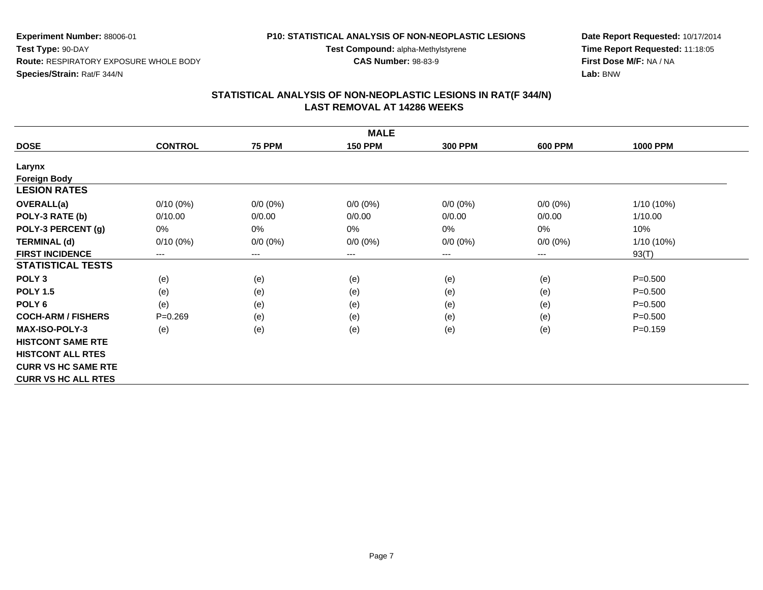#### **P10: STATISTICAL ANALYSIS OF NON-NEOPLASTIC LESIONS**

**Test Compound:** alpha-Methylstyrene

**CAS Number:** 98-83-9

**Date Report Requested:** 10/17/2014**Time Report Requested:** 11:18:05**First Dose M/F:** NA / NA**Lab:** BNW

| <b>MALE</b>                |                |                            |                |                |                |                 |  |  |  |
|----------------------------|----------------|----------------------------|----------------|----------------|----------------|-----------------|--|--|--|
| <b>DOSE</b>                | <b>CONTROL</b> | <b>75 PPM</b>              | <b>150 PPM</b> | <b>300 PPM</b> | <b>600 PPM</b> | <b>1000 PPM</b> |  |  |  |
| Larynx                     |                |                            |                |                |                |                 |  |  |  |
| <b>Foreign Body</b>        |                |                            |                |                |                |                 |  |  |  |
| <b>LESION RATES</b>        |                |                            |                |                |                |                 |  |  |  |
| OVERALL(a)                 | $0/10(0\%)$    | $0/0 (0\%)$                | $0/0 (0\%)$    | $0/0 (0\%)$    | $0/0 (0\%)$    | $1/10(10\%)$    |  |  |  |
| POLY-3 RATE (b)            | 0/10.00        | 0/0.00                     | 0/0.00         | 0/0.00         | 0/0.00         | 1/10.00         |  |  |  |
| POLY-3 PERCENT (g)         | 0%             | 0%                         | 0%             | 0%             | 0%             | 10%             |  |  |  |
| <b>TERMINAL (d)</b>        | $0/10(0\%)$    | $0/0 (0\%)$                | $0/0 (0\%)$    | $0/0 (0\%)$    | $0/0 (0\%)$    | $1/10(10\%)$    |  |  |  |
| <b>FIRST INCIDENCE</b>     | ---            | $\qquad \qquad - \qquad -$ | $--$           | ---            | $---$          | 93(T)           |  |  |  |
| <b>STATISTICAL TESTS</b>   |                |                            |                |                |                |                 |  |  |  |
| POLY <sub>3</sub>          | (e)            | (e)                        | (e)            | (e)            | (e)            | $P = 0.500$     |  |  |  |
| <b>POLY 1.5</b>            | (e)            | (e)                        | (e)            | (e)            | (e)            | $P = 0.500$     |  |  |  |
| POLY <sub>6</sub>          | (e)            | (e)                        | (e)            | (e)            | (e)            | $P = 0.500$     |  |  |  |
| <b>COCH-ARM / FISHERS</b>  | $P = 0.269$    | (e)                        | (e)            | (e)            | (e)            | $P = 0.500$     |  |  |  |
| <b>MAX-ISO-POLY-3</b>      | (e)            | (e)                        | (e)            | (e)            | (e)            | $P=0.159$       |  |  |  |
| <b>HISTCONT SAME RTE</b>   |                |                            |                |                |                |                 |  |  |  |
| <b>HISTCONT ALL RTES</b>   |                |                            |                |                |                |                 |  |  |  |
| <b>CURR VS HC SAME RTE</b> |                |                            |                |                |                |                 |  |  |  |
| <b>CURR VS HC ALL RTES</b> |                |                            |                |                |                |                 |  |  |  |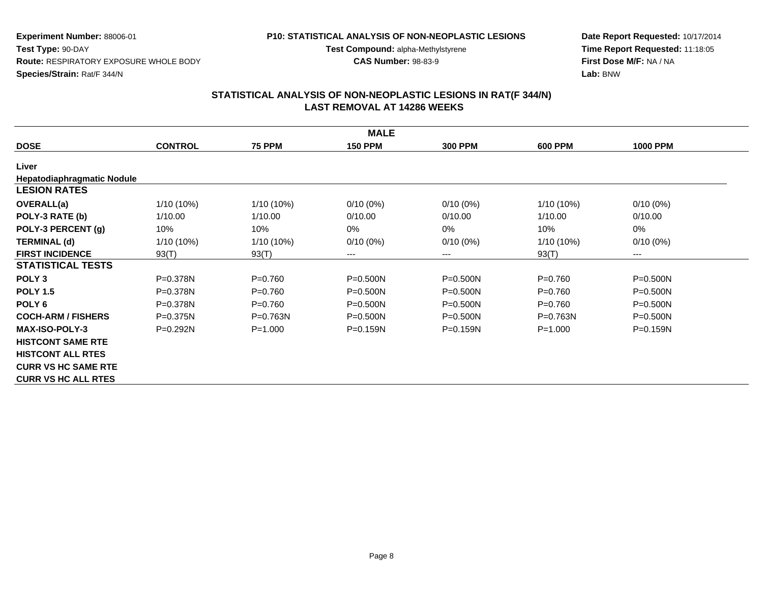#### **P10: STATISTICAL ANALYSIS OF NON-NEOPLASTIC LESIONS**

**Test Compound:** alpha-Methylstyrene

**CAS Number:** 98-83-9

**Date Report Requested:** 10/17/2014**Time Report Requested:** 11:18:05**First Dose M/F:** NA / NA**Lab:** BNW

| <b>MALE</b>                       |                |               |                |                |                |                 |  |  |  |
|-----------------------------------|----------------|---------------|----------------|----------------|----------------|-----------------|--|--|--|
| <b>DOSE</b>                       | <b>CONTROL</b> | <b>75 PPM</b> | <b>150 PPM</b> | <b>300 PPM</b> | <b>600 PPM</b> | <b>1000 PPM</b> |  |  |  |
| Liver                             |                |               |                |                |                |                 |  |  |  |
| <b>Hepatodiaphragmatic Nodule</b> |                |               |                |                |                |                 |  |  |  |
| <b>LESION RATES</b>               |                |               |                |                |                |                 |  |  |  |
| <b>OVERALL(a)</b>                 | 1/10 (10%)     | 1/10 (10%)    | $0/10(0\%)$    | $0/10(0\%)$    | $1/10(10\%)$   | $0/10(0\%)$     |  |  |  |
| POLY-3 RATE (b)                   | 1/10.00        | 1/10.00       | 0/10.00        | 0/10.00        | 1/10.00        | 0/10.00         |  |  |  |
| POLY-3 PERCENT (g)                | 10%            | 10%           | 0%             | 0%             | 10%            | 0%              |  |  |  |
| <b>TERMINAL (d)</b>               | $1/10(10\%)$   | 1/10 (10%)    | $0/10(0\%)$    | $0/10(0\%)$    | 1/10 (10%)     | $0/10(0\%)$     |  |  |  |
| <b>FIRST INCIDENCE</b>            | 93(T)          | 93(T)         | ---            | ---            | 93(T)          | $---$           |  |  |  |
| <b>STATISTICAL TESTS</b>          |                |               |                |                |                |                 |  |  |  |
| POLY <sub>3</sub>                 | $P = 0.378N$   | $P = 0.760$   | $P = 0.500N$   | $P = 0.500N$   | $P=0.760$      | $P = 0.500N$    |  |  |  |
| <b>POLY 1.5</b>                   | $P = 0.378N$   | $P=0.760$     | $P = 0.500N$   | $P = 0.500N$   | $P=0.760$      | $P = 0.500N$    |  |  |  |
| POLY <sub>6</sub>                 | $P = 0.378N$   | $P = 0.760$   | $P = 0.500N$   | $P = 0.500N$   | $P=0.760$      | $P = 0.500N$    |  |  |  |
| <b>COCH-ARM / FISHERS</b>         | $P = 0.375N$   | $P = 0.763N$  | $P = 0.500N$   | $P = 0.500N$   | $P = 0.763N$   | $P = 0.500N$    |  |  |  |
| <b>MAX-ISO-POLY-3</b>             | $P=0.292N$     | $P = 1.000$   | $P = 0.159N$   | $P=0.159N$     | $P = 1.000$    | $P = 0.159N$    |  |  |  |
| <b>HISTCONT SAME RTE</b>          |                |               |                |                |                |                 |  |  |  |
| <b>HISTCONT ALL RTES</b>          |                |               |                |                |                |                 |  |  |  |
| <b>CURR VS HC SAME RTE</b>        |                |               |                |                |                |                 |  |  |  |
| <b>CURR VS HC ALL RTES</b>        |                |               |                |                |                |                 |  |  |  |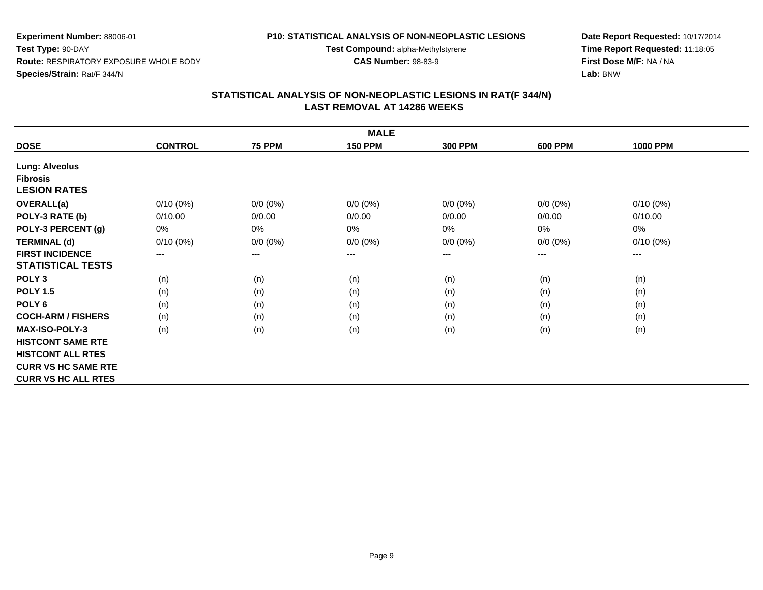#### **P10: STATISTICAL ANALYSIS OF NON-NEOPLASTIC LESIONS**

**Test Compound:** alpha-Methylstyrene

**CAS Number:** 98-83-9

**Date Report Requested:** 10/17/2014**Time Report Requested:** 11:18:05**First Dose M/F:** NA / NA**Lab:** BNW

| <b>MALE</b>                |                |               |                |                |                |                 |  |  |  |
|----------------------------|----------------|---------------|----------------|----------------|----------------|-----------------|--|--|--|
| <b>DOSE</b>                | <b>CONTROL</b> | <b>75 PPM</b> | <b>150 PPM</b> | <b>300 PPM</b> | <b>600 PPM</b> | <b>1000 PPM</b> |  |  |  |
| <b>Lung: Alveolus</b>      |                |               |                |                |                |                 |  |  |  |
| <b>Fibrosis</b>            |                |               |                |                |                |                 |  |  |  |
| <b>LESION RATES</b>        |                |               |                |                |                |                 |  |  |  |
| OVERALL(a)                 | $0/10(0\%)$    | $0/0 (0\%)$   | $0/0 (0\%)$    | $0/0 (0\%)$    | $0/0 (0\%)$    | $0/10(0\%)$     |  |  |  |
| POLY-3 RATE (b)            | 0/10.00        | 0/0.00        | 0/0.00         | 0/0.00         | 0/0.00         | 0/10.00         |  |  |  |
| POLY-3 PERCENT (g)         | 0%             | 0%            | 0%             | 0%             | 0%             | 0%              |  |  |  |
| <b>TERMINAL (d)</b>        | $0/10(0\%)$    | $0/0 (0\%)$   | $0/0 (0\%)$    | $0/0 (0\%)$    | $0/0 (0\%)$    | $0/10(0\%)$     |  |  |  |
| <b>FIRST INCIDENCE</b>     | ---            | $---$         | $---$          | ---            | $---$          | $---$           |  |  |  |
| <b>STATISTICAL TESTS</b>   |                |               |                |                |                |                 |  |  |  |
| POLY <sub>3</sub>          | (n)            | (n)           | (n)            | (n)            | (n)            | (n)             |  |  |  |
| <b>POLY 1.5</b>            | (n)            | (n)           | (n)            | (n)            | (n)            | (n)             |  |  |  |
| POLY <sub>6</sub>          | (n)            | (n)           | (n)            | (n)            | (n)            | (n)             |  |  |  |
| <b>COCH-ARM / FISHERS</b>  | (n)            | (n)           | (n)            | (n)            | (n)            | (n)             |  |  |  |
| <b>MAX-ISO-POLY-3</b>      | (n)            | (n)           | (n)            | (n)            | (n)            | (n)             |  |  |  |
| <b>HISTCONT SAME RTE</b>   |                |               |                |                |                |                 |  |  |  |
| <b>HISTCONT ALL RTES</b>   |                |               |                |                |                |                 |  |  |  |
| <b>CURR VS HC SAME RTE</b> |                |               |                |                |                |                 |  |  |  |
| <b>CURR VS HC ALL RTES</b> |                |               |                |                |                |                 |  |  |  |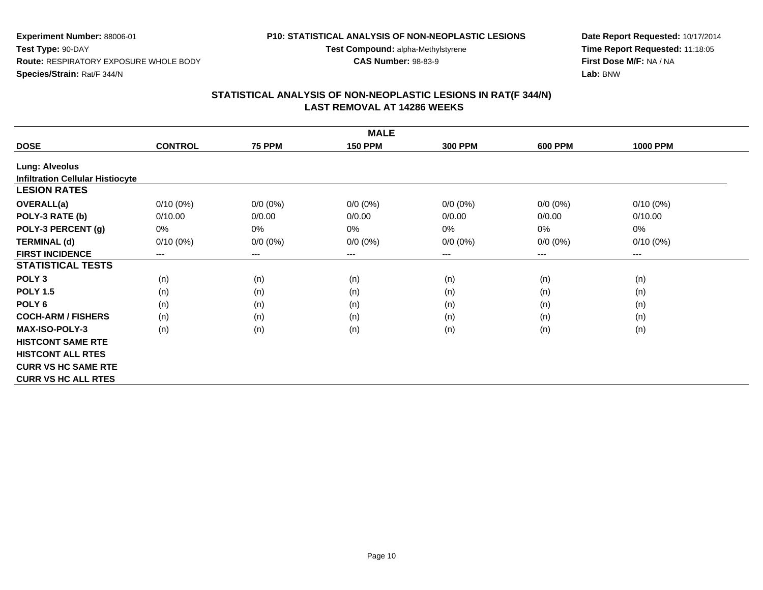# **P10: STATISTICAL ANALYSIS OF NON-NEOPLASTIC LESIONS**

**Test Compound:** alpha-Methylstyrene

**CAS Number:** 98-83-9

**Date Report Requested:** 10/17/2014**Time Report Requested:** 11:18:05**First Dose M/F:** NA / NA**Lab:** BNW

| <b>MALE</b>                             |                |                            |                |                |                |                        |  |  |  |
|-----------------------------------------|----------------|----------------------------|----------------|----------------|----------------|------------------------|--|--|--|
| <b>DOSE</b>                             | <b>CONTROL</b> | <b>75 PPM</b>              | <b>150 PPM</b> | <b>300 PPM</b> | <b>600 PPM</b> | <b>1000 PPM</b>        |  |  |  |
| <b>Lung: Alveolus</b>                   |                |                            |                |                |                |                        |  |  |  |
| <b>Infiltration Cellular Histiocyte</b> |                |                            |                |                |                |                        |  |  |  |
| <b>LESION RATES</b>                     |                |                            |                |                |                |                        |  |  |  |
| <b>OVERALL(a)</b>                       | $0/10(0\%)$    | $0/0 (0\%)$                | $0/0 (0\%)$    | $0/0 (0\%)$    | $0/0 (0\%)$    | $0/10(0\%)$            |  |  |  |
| POLY-3 RATE (b)                         | 0/10.00        | 0/0.00                     | 0/0.00         | 0/0.00         | 0/0.00         | 0/10.00                |  |  |  |
| POLY-3 PERCENT (g)                      | 0%             | 0%                         | 0%             | 0%             | $0\%$          | 0%                     |  |  |  |
| <b>TERMINAL (d)</b>                     | $0/10(0\%)$    | $0/0 (0\%)$                | $0/0 (0\%)$    | $0/0 (0\%)$    | $0/0 (0\%)$    | $0/10(0\%)$            |  |  |  |
| <b>FIRST INCIDENCE</b>                  | ---            | $\qquad \qquad - \qquad -$ | ---            | ---            | ---            | $\qquad \qquad \cdots$ |  |  |  |
| <b>STATISTICAL TESTS</b>                |                |                            |                |                |                |                        |  |  |  |
| POLY <sub>3</sub>                       | (n)            | (n)                        | (n)            | (n)            | (n)            | (n)                    |  |  |  |
| <b>POLY 1.5</b>                         | (n)            | (n)                        | (n)            | (n)            | (n)            | (n)                    |  |  |  |
| POLY <sub>6</sub>                       | (n)            | (n)                        | (n)            | (n)            | (n)            | (n)                    |  |  |  |
| <b>COCH-ARM / FISHERS</b>               | (n)            | (n)                        | (n)            | (n)            | (n)            | (n)                    |  |  |  |
| <b>MAX-ISO-POLY-3</b>                   | (n)            | (n)                        | (n)            | (n)            | (n)            | (n)                    |  |  |  |
| <b>HISTCONT SAME RTE</b>                |                |                            |                |                |                |                        |  |  |  |
| <b>HISTCONT ALL RTES</b>                |                |                            |                |                |                |                        |  |  |  |
| <b>CURR VS HC SAME RTE</b>              |                |                            |                |                |                |                        |  |  |  |
| <b>CURR VS HC ALL RTES</b>              |                |                            |                |                |                |                        |  |  |  |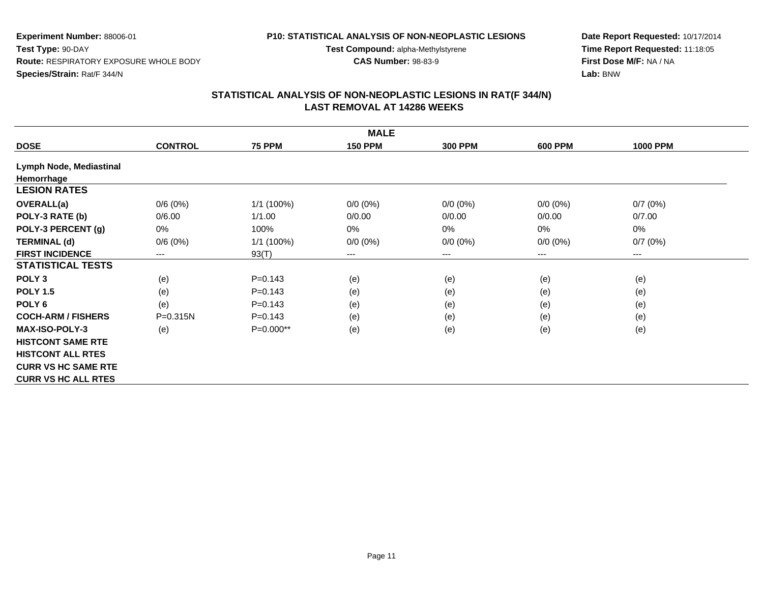#### **P10: STATISTICAL ANALYSIS OF NON-NEOPLASTIC LESIONS**

**Test Compound:** alpha-Methylstyrene

**CAS Number:** 98-83-9

**Date Report Requested:** 10/17/2014**Time Report Requested:** 11:18:05**First Dose M/F:** NA / NA**Lab:** BNW

|                            | <b>MALE</b>    |               |                |                |                |                 |  |  |  |  |  |
|----------------------------|----------------|---------------|----------------|----------------|----------------|-----------------|--|--|--|--|--|
| <b>DOSE</b>                | <b>CONTROL</b> | <b>75 PPM</b> | <b>150 PPM</b> | <b>300 PPM</b> | <b>600 PPM</b> | <b>1000 PPM</b> |  |  |  |  |  |
| Lymph Node, Mediastinal    |                |               |                |                |                |                 |  |  |  |  |  |
| Hemorrhage                 |                |               |                |                |                |                 |  |  |  |  |  |
| <b>LESION RATES</b>        |                |               |                |                |                |                 |  |  |  |  |  |
| <b>OVERALL(a)</b>          | 0/6(0%)        | 1/1 (100%)    | $0/0 (0\%)$    | $0/0 (0\%)$    | $0/0 (0\%)$    | 0/7(0%)         |  |  |  |  |  |
| POLY-3 RATE (b)            | 0/6.00         | 1/1.00        | 0/0.00         | 0/0.00         | 0/0.00         | 0/7.00          |  |  |  |  |  |
| POLY-3 PERCENT (g)         | 0%             | 100%          | 0%             | 0%             | $0\%$          | 0%              |  |  |  |  |  |
| <b>TERMINAL (d)</b>        | 0/6(0%)        | 1/1 (100%)    | $0/0 (0\%)$    | $0/0 (0\%)$    | $0/0 (0\%)$    | 0/7(0%)         |  |  |  |  |  |
| <b>FIRST INCIDENCE</b>     | $---$          | 93(T)         | ---            | ---            | ---            | $---$           |  |  |  |  |  |
| <b>STATISTICAL TESTS</b>   |                |               |                |                |                |                 |  |  |  |  |  |
| POLY <sub>3</sub>          | (e)            | $P = 0.143$   | (e)            | (e)            | (e)            | (e)             |  |  |  |  |  |
| <b>POLY 1.5</b>            | (e)            | $P=0.143$     | (e)            | (e)            | (e)            | (e)             |  |  |  |  |  |
| POLY <sub>6</sub>          | (e)            | $P=0.143$     | (e)            | (e)            | (e)            | (e)             |  |  |  |  |  |
| <b>COCH-ARM / FISHERS</b>  | $P = 0.315N$   | $P=0.143$     | (e)            | (e)            | (e)            | (e)             |  |  |  |  |  |
| <b>MAX-ISO-POLY-3</b>      | (e)            | $P=0.000**$   | (e)            | (e)            | (e)            | (e)             |  |  |  |  |  |
| <b>HISTCONT SAME RTE</b>   |                |               |                |                |                |                 |  |  |  |  |  |
| <b>HISTCONT ALL RTES</b>   |                |               |                |                |                |                 |  |  |  |  |  |
| <b>CURR VS HC SAME RTE</b> |                |               |                |                |                |                 |  |  |  |  |  |
| <b>CURR VS HC ALL RTES</b> |                |               |                |                |                |                 |  |  |  |  |  |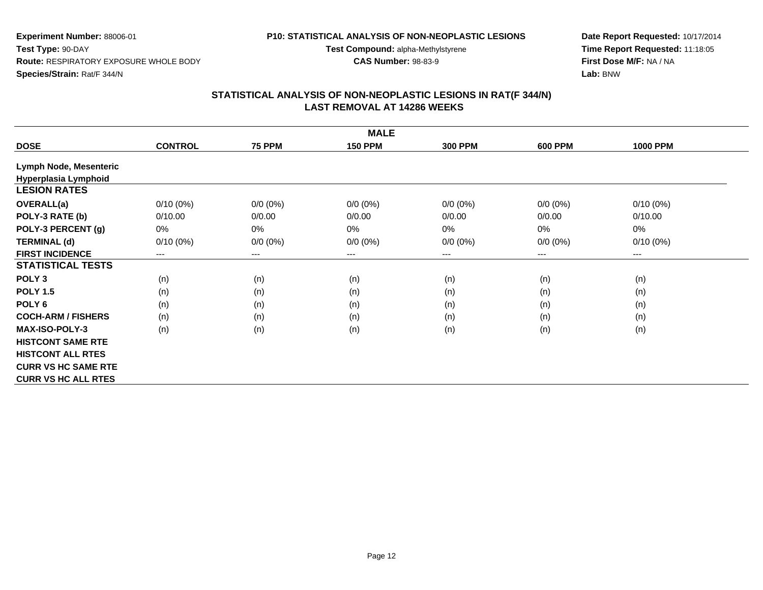#### **P10: STATISTICAL ANALYSIS OF NON-NEOPLASTIC LESIONS**

**Test Compound:** alpha-Methylstyrene

**CAS Number:** 98-83-9

**Date Report Requested:** 10/17/2014**Time Report Requested:** 11:18:05**First Dose M/F:** NA / NA**Lab:** BNW

| <b>MALE</b>                |                |                        |                |                |                |                 |  |  |  |
|----------------------------|----------------|------------------------|----------------|----------------|----------------|-----------------|--|--|--|
| <b>DOSE</b>                | <b>CONTROL</b> | <b>75 PPM</b>          | <b>150 PPM</b> | <b>300 PPM</b> | <b>600 PPM</b> | <b>1000 PPM</b> |  |  |  |
| Lymph Node, Mesenteric     |                |                        |                |                |                |                 |  |  |  |
| Hyperplasia Lymphoid       |                |                        |                |                |                |                 |  |  |  |
| <b>LESION RATES</b>        |                |                        |                |                |                |                 |  |  |  |
| <b>OVERALL(a)</b>          | $0/10(0\%)$    | $0/0 (0\%)$            | $0/0 (0\%)$    | $0/0 (0\%)$    | $0/0 (0\%)$    | $0/10(0\%)$     |  |  |  |
| POLY-3 RATE (b)            | 0/10.00        | 0/0.00                 | 0/0.00         | 0/0.00         | 0/0.00         | 0/10.00         |  |  |  |
| POLY-3 PERCENT (g)         | 0%             | 0%                     | 0%             | 0%             | $0\%$          | 0%              |  |  |  |
| <b>TERMINAL (d)</b>        | $0/10(0\%)$    | $0/0 (0\%)$            | $0/0 (0\%)$    | $0/0 (0\%)$    | $0/0 (0\%)$    | $0/10(0\%)$     |  |  |  |
| <b>FIRST INCIDENCE</b>     | ---            | $\qquad \qquad \cdots$ | ---            | ---            | ---            | ---             |  |  |  |
| <b>STATISTICAL TESTS</b>   |                |                        |                |                |                |                 |  |  |  |
| POLY <sub>3</sub>          | (n)            | (n)                    | (n)            | (n)            | (n)            | (n)             |  |  |  |
| <b>POLY 1.5</b>            | (n)            | (n)                    | (n)            | (n)            | (n)            | (n)             |  |  |  |
| POLY <sub>6</sub>          | (n)            | (n)                    | (n)            | (n)            | (n)            | (n)             |  |  |  |
| <b>COCH-ARM / FISHERS</b>  | (n)            | (n)                    | (n)            | (n)            | (n)            | (n)             |  |  |  |
| <b>MAX-ISO-POLY-3</b>      | (n)            | (n)                    | (n)            | (n)            | (n)            | (n)             |  |  |  |
| <b>HISTCONT SAME RTE</b>   |                |                        |                |                |                |                 |  |  |  |
| <b>HISTCONT ALL RTES</b>   |                |                        |                |                |                |                 |  |  |  |
| <b>CURR VS HC SAME RTE</b> |                |                        |                |                |                |                 |  |  |  |
| <b>CURR VS HC ALL RTES</b> |                |                        |                |                |                |                 |  |  |  |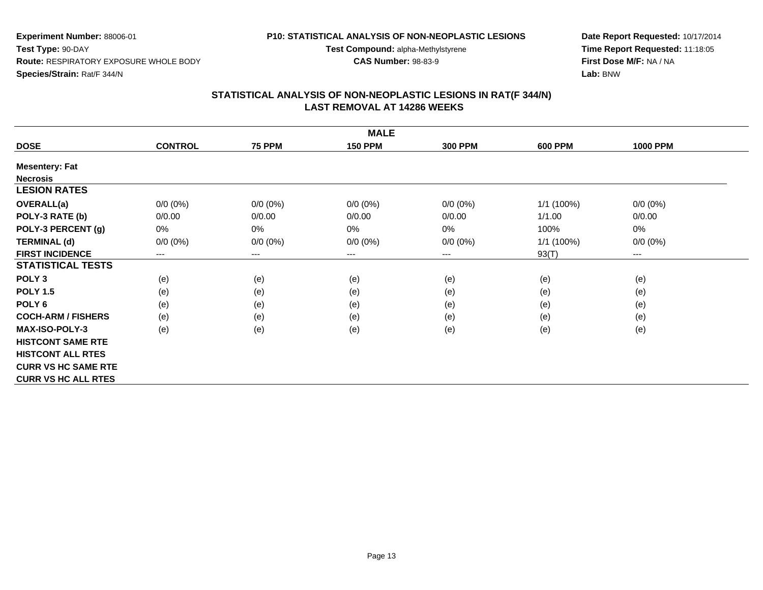### **P10: STATISTICAL ANALYSIS OF NON-NEOPLASTIC LESIONS**

**Test Compound:** alpha-Methylstyrene

**CAS Number:** 98-83-9

**Date Report Requested:** 10/17/2014**Time Report Requested:** 11:18:05**First Dose M/F:** NA / NA**Lab:** BNW

| <b>MALE</b>                |                |               |                |                |                |                                          |  |  |  |
|----------------------------|----------------|---------------|----------------|----------------|----------------|------------------------------------------|--|--|--|
| <b>DOSE</b>                | <b>CONTROL</b> | <b>75 PPM</b> | <b>150 PPM</b> | <b>300 PPM</b> | <b>600 PPM</b> | <b>1000 PPM</b>                          |  |  |  |
| <b>Mesentery: Fat</b>      |                |               |                |                |                |                                          |  |  |  |
| <b>Necrosis</b>            |                |               |                |                |                |                                          |  |  |  |
| <b>LESION RATES</b>        |                |               |                |                |                |                                          |  |  |  |
| <b>OVERALL(a)</b>          | $0/0 (0\%)$    | $0/0 (0\%)$   | $0/0 (0\%)$    | $0/0 (0\%)$    | 1/1 (100%)     | $0/0 (0\%)$                              |  |  |  |
| POLY-3 RATE (b)            | 0/0.00         | 0/0.00        | 0/0.00         | 0/0.00         | 1/1.00         | 0/0.00                                   |  |  |  |
| POLY-3 PERCENT (g)         | 0%             | 0%            | 0%             | 0%             | 100%           | 0%                                       |  |  |  |
| <b>TERMINAL (d)</b>        | $0/0 (0\%)$    | $0/0 (0\%)$   | $0/0 (0\%)$    | $0/0 (0\%)$    | $1/1$ (100%)   | $0/0 (0\%)$                              |  |  |  |
| <b>FIRST INCIDENCE</b>     | $---$          | $---$         | $---$          | ---            | 93(T)          | $\hspace{0.05cm} \ldots \hspace{0.05cm}$ |  |  |  |
| <b>STATISTICAL TESTS</b>   |                |               |                |                |                |                                          |  |  |  |
| POLY <sub>3</sub>          | (e)            | (e)           | (e)            | (e)            | (e)            | (e)                                      |  |  |  |
| <b>POLY 1.5</b>            | (e)            | (e)           | (e)            | (e)            | (e)            | (e)                                      |  |  |  |
| POLY <sub>6</sub>          | (e)            | (e)           | (e)            | (e)            | (e)            | (e)                                      |  |  |  |
| <b>COCH-ARM / FISHERS</b>  | (e)            | (e)           | (e)            | (e)            | (e)            | (e)                                      |  |  |  |
| <b>MAX-ISO-POLY-3</b>      | (e)            | (e)           | (e)            | (e)            | (e)            | (e)                                      |  |  |  |
| <b>HISTCONT SAME RTE</b>   |                |               |                |                |                |                                          |  |  |  |
| <b>HISTCONT ALL RTES</b>   |                |               |                |                |                |                                          |  |  |  |
| <b>CURR VS HC SAME RTE</b> |                |               |                |                |                |                                          |  |  |  |
| <b>CURR VS HC ALL RTES</b> |                |               |                |                |                |                                          |  |  |  |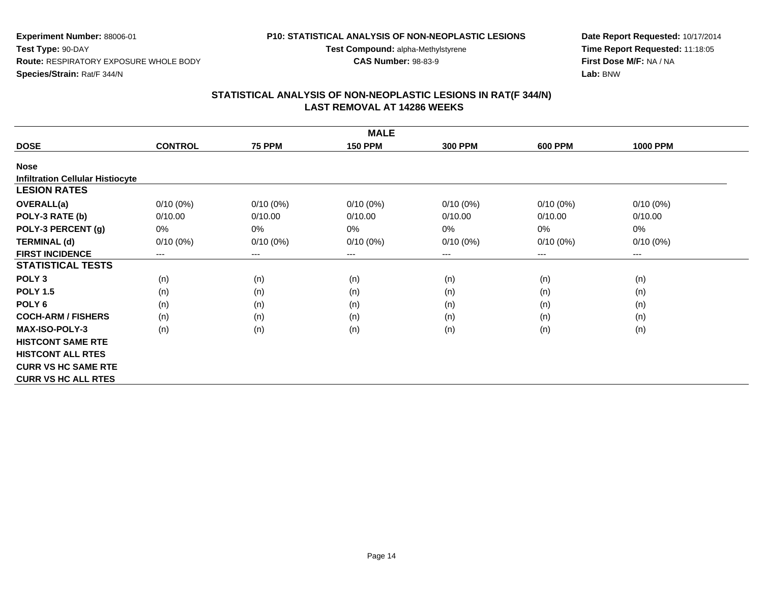# **P10: STATISTICAL ANALYSIS OF NON-NEOPLASTIC LESIONS**

**Test Compound:** alpha-Methylstyrene

**CAS Number:** 98-83-9

**Date Report Requested:** 10/17/2014**Time Report Requested:** 11:18:05**First Dose M/F:** NA / NA**Lab:** BNW

| <b>MALE</b>                             |                |               |                |                |                            |                 |  |  |  |
|-----------------------------------------|----------------|---------------|----------------|----------------|----------------------------|-----------------|--|--|--|
| <b>DOSE</b>                             | <b>CONTROL</b> | <b>75 PPM</b> | <b>150 PPM</b> | <b>300 PPM</b> | <b>600 PPM</b>             | <b>1000 PPM</b> |  |  |  |
| <b>Nose</b>                             |                |               |                |                |                            |                 |  |  |  |
| <b>Infiltration Cellular Histiocyte</b> |                |               |                |                |                            |                 |  |  |  |
| <b>LESION RATES</b>                     |                |               |                |                |                            |                 |  |  |  |
| OVERALL(a)                              | $0/10(0\%)$    | $0/10(0\%)$   | $0/10(0\%)$    | $0/10(0\%)$    | $0/10(0\%)$                | $0/10(0\%)$     |  |  |  |
| POLY-3 RATE (b)                         | 0/10.00        | 0/10.00       | 0/10.00        | 0/10.00        | 0/10.00                    | 0/10.00         |  |  |  |
| POLY-3 PERCENT (g)                      | 0%             | $0\%$         | 0%             | $0\%$          | 0%                         | 0%              |  |  |  |
| <b>TERMINAL (d)</b>                     | $0/10(0\%)$    | $0/10(0\%)$   | $0/10(0\%)$    | $0/10(0\%)$    | $0/10(0\%)$                | $0/10(0\%)$     |  |  |  |
| <b>FIRST INCIDENCE</b>                  | $---$          | $\cdots$      | ---            | ---            | $\qquad \qquad - \qquad -$ | ---             |  |  |  |
| <b>STATISTICAL TESTS</b>                |                |               |                |                |                            |                 |  |  |  |
| POLY <sub>3</sub>                       | (n)            | (n)           | (n)            | (n)            | (n)                        | (n)             |  |  |  |
| <b>POLY 1.5</b>                         | (n)            | (n)           | (n)            | (n)            | (n)                        | (n)             |  |  |  |
| POLY <sub>6</sub>                       | (n)            | (n)           | (n)            | (n)            | (n)                        | (n)             |  |  |  |
| <b>COCH-ARM / FISHERS</b>               | (n)            | (n)           | (n)            | (n)            | (n)                        | (n)             |  |  |  |
| <b>MAX-ISO-POLY-3</b>                   | (n)            | (n)           | (n)            | (n)            | (n)                        | (n)             |  |  |  |
| <b>HISTCONT SAME RTE</b>                |                |               |                |                |                            |                 |  |  |  |
| <b>HISTCONT ALL RTES</b>                |                |               |                |                |                            |                 |  |  |  |
| <b>CURR VS HC SAME RTE</b>              |                |               |                |                |                            |                 |  |  |  |
| <b>CURR VS HC ALL RTES</b>              |                |               |                |                |                            |                 |  |  |  |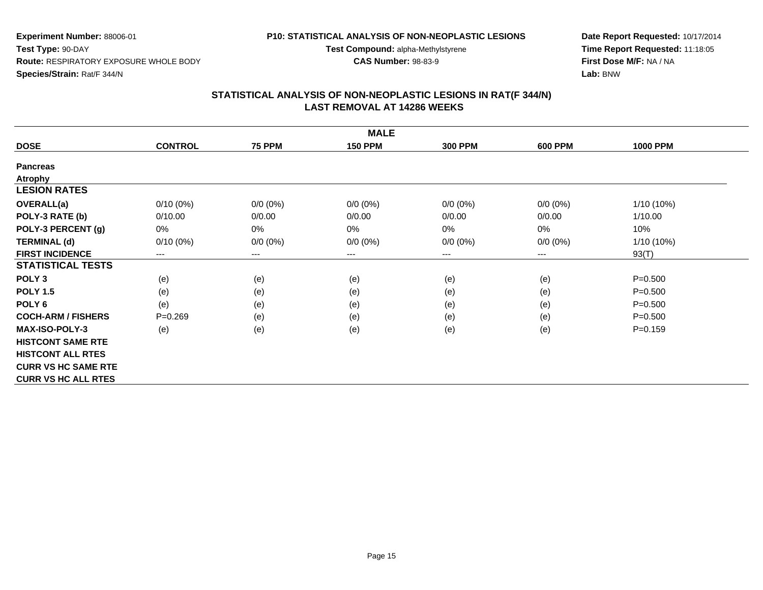#### **P10: STATISTICAL ANALYSIS OF NON-NEOPLASTIC LESIONS**

**Test Compound:** alpha-Methylstyrene

**CAS Number:** 98-83-9

**Date Report Requested:** 10/17/2014**Time Report Requested:** 11:18:05**First Dose M/F:** NA / NA**Lab:** BNW

| <b>MALE</b>                |                |               |                |                |                |                 |  |  |
|----------------------------|----------------|---------------|----------------|----------------|----------------|-----------------|--|--|
| <b>DOSE</b>                | <b>CONTROL</b> | <b>75 PPM</b> | <b>150 PPM</b> | <b>300 PPM</b> | <b>600 PPM</b> | <b>1000 PPM</b> |  |  |
| <b>Pancreas</b>            |                |               |                |                |                |                 |  |  |
| <b>Atrophy</b>             |                |               |                |                |                |                 |  |  |
| <b>LESION RATES</b>        |                |               |                |                |                |                 |  |  |
| OVERALL(a)                 | $0/10(0\%)$    | $0/0 (0\%)$   | $0/0 (0\%)$    | $0/0 (0\%)$    | $0/0 (0\%)$    | $1/10(10\%)$    |  |  |
| POLY-3 RATE (b)            | 0/10.00        | 0/0.00        | 0/0.00         | 0/0.00         | 0/0.00         | 1/10.00         |  |  |
| POLY-3 PERCENT (g)         | 0%             | 0%            | 0%             | 0%             | 0%             | 10%             |  |  |
| <b>TERMINAL (d)</b>        | $0/10(0\%)$    | $0/0 (0\%)$   | $0/0 (0\%)$    | $0/0 (0\%)$    | $0/0 (0\%)$    | $1/10(10\%)$    |  |  |
| <b>FIRST INCIDENCE</b>     | $---$          | $---$         | $---$          | ---            | ---            | 93(T)           |  |  |
| <b>STATISTICAL TESTS</b>   |                |               |                |                |                |                 |  |  |
| POLY <sub>3</sub>          | (e)            | (e)           | (e)            | (e)            | (e)            | $P = 0.500$     |  |  |
| <b>POLY 1.5</b>            | (e)            | (e)           | (e)            | (e)            | (e)            | $P = 0.500$     |  |  |
| POLY 6                     | (e)            | (e)           | (e)            | (e)            | (e)            | $P = 0.500$     |  |  |
| <b>COCH-ARM / FISHERS</b>  | $P = 0.269$    | (e)           | (e)            | (e)            | (e)            | $P = 0.500$     |  |  |
| <b>MAX-ISO-POLY-3</b>      | (e)            | (e)           | (e)            | (e)            | (e)            | $P = 0.159$     |  |  |
| <b>HISTCONT SAME RTE</b>   |                |               |                |                |                |                 |  |  |
| <b>HISTCONT ALL RTES</b>   |                |               |                |                |                |                 |  |  |
| <b>CURR VS HC SAME RTE</b> |                |               |                |                |                |                 |  |  |
| <b>CURR VS HC ALL RTES</b> |                |               |                |                |                |                 |  |  |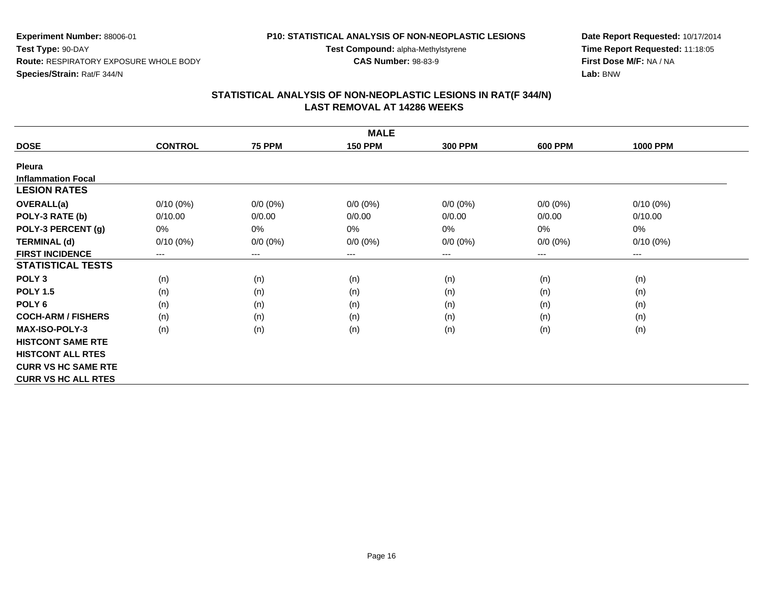#### **P10: STATISTICAL ANALYSIS OF NON-NEOPLASTIC LESIONS**

**Test Compound:** alpha-Methylstyrene

**CAS Number:** 98-83-9

**Date Report Requested:** 10/17/2014**Time Report Requested:** 11:18:05**First Dose M/F:** NA / NA**Lab:** BNW

| <b>MALE</b>                |                            |               |                |                |                        |                 |  |  |  |
|----------------------------|----------------------------|---------------|----------------|----------------|------------------------|-----------------|--|--|--|
| <b>DOSE</b>                | <b>CONTROL</b>             | <b>75 PPM</b> | <b>150 PPM</b> | <b>300 PPM</b> | <b>600 PPM</b>         | <b>1000 PPM</b> |  |  |  |
| Pleura                     |                            |               |                |                |                        |                 |  |  |  |
| <b>Inflammation Focal</b>  |                            |               |                |                |                        |                 |  |  |  |
| <b>LESION RATES</b>        |                            |               |                |                |                        |                 |  |  |  |
| OVERALL(a)                 | $0/10(0\%)$                | $0/0 (0\%)$   | $0/0 (0\%)$    | $0/0 (0\%)$    | $0/0(0\%)$             | $0/10(0\%)$     |  |  |  |
| POLY-3 RATE (b)            | 0/10.00                    | 0/0.00        | 0/0.00         | 0/0.00         | 0/0.00                 | 0/10.00         |  |  |  |
| POLY-3 PERCENT (g)         | 0%                         | 0%            | 0%             | $0\%$          | $0\%$                  | $0\%$           |  |  |  |
| <b>TERMINAL (d)</b>        | $0/10(0\%)$                | $0/0 (0\%)$   | $0/0 (0\%)$    | $0/0 (0\%)$    | $0/0(0\%)$             | $0/10(0\%)$     |  |  |  |
| <b>FIRST INCIDENCE</b>     | $\qquad \qquad - \qquad -$ | $\cdots$      | $---$          | ---            | $\qquad \qquad \cdots$ | $\cdots$        |  |  |  |
| <b>STATISTICAL TESTS</b>   |                            |               |                |                |                        |                 |  |  |  |
| POLY <sub>3</sub>          | (n)                        | (n)           | (n)            | (n)            | (n)                    | (n)             |  |  |  |
| <b>POLY 1.5</b>            | (n)                        | (n)           | (n)            | (n)            | (n)                    | (n)             |  |  |  |
| POLY <sub>6</sub>          | (n)                        | (n)           | (n)            | (n)            | (n)                    | (n)             |  |  |  |
| <b>COCH-ARM / FISHERS</b>  | (n)                        | (n)           | (n)            | (n)            | (n)                    | (n)             |  |  |  |
| <b>MAX-ISO-POLY-3</b>      | (n)                        | (n)           | (n)            | (n)            | (n)                    | (n)             |  |  |  |
| <b>HISTCONT SAME RTE</b>   |                            |               |                |                |                        |                 |  |  |  |
| <b>HISTCONT ALL RTES</b>   |                            |               |                |                |                        |                 |  |  |  |
| <b>CURR VS HC SAME RTE</b> |                            |               |                |                |                        |                 |  |  |  |
| <b>CURR VS HC ALL RTES</b> |                            |               |                |                |                        |                 |  |  |  |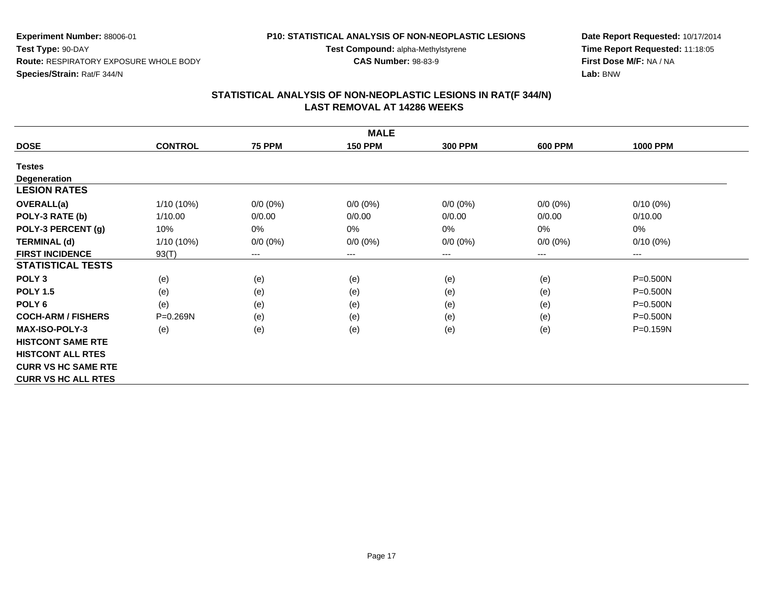#### **P10: STATISTICAL ANALYSIS OF NON-NEOPLASTIC LESIONS**

**Test Compound:** alpha-Methylstyrene

**CAS Number:** 98-83-9

**Date Report Requested:** 10/17/2014**Time Report Requested:** 11:18:05**First Dose M/F:** NA / NA**Lab:** BNW

| <b>MALE</b>                |                |                        |                |                |                        |                 |  |  |  |
|----------------------------|----------------|------------------------|----------------|----------------|------------------------|-----------------|--|--|--|
| <b>DOSE</b>                | <b>CONTROL</b> | <b>75 PPM</b>          | <b>150 PPM</b> | <b>300 PPM</b> | <b>600 PPM</b>         | <b>1000 PPM</b> |  |  |  |
| <b>Testes</b>              |                |                        |                |                |                        |                 |  |  |  |
| <b>Degeneration</b>        |                |                        |                |                |                        |                 |  |  |  |
| <b>LESION RATES</b>        |                |                        |                |                |                        |                 |  |  |  |
| <b>OVERALL(a)</b>          | $1/10(10\%)$   | $0/0 (0\%)$            | $0/0 (0\%)$    | $0/0 (0\%)$    | $0/0 (0\%)$            | $0/10(0\%)$     |  |  |  |
| POLY-3 RATE (b)            | 1/10.00        | 0/0.00                 | 0/0.00         | 0/0.00         | 0/0.00                 | 0/10.00         |  |  |  |
| POLY-3 PERCENT (g)         | 10%            | 0%                     | 0%             | 0%             | 0%                     | 0%              |  |  |  |
| <b>TERMINAL (d)</b>        | $1/10(10\%)$   | $0/0 (0\%)$            | $0/0 (0\%)$    | $0/0 (0\%)$    | $0/0 (0\%)$            | $0/10(0\%)$     |  |  |  |
| <b>FIRST INCIDENCE</b>     | 93(T)          | $\qquad \qquad \cdots$ | ---            | ---            | $\qquad \qquad \cdots$ | $\cdots$        |  |  |  |
| <b>STATISTICAL TESTS</b>   |                |                        |                |                |                        |                 |  |  |  |
| POLY <sub>3</sub>          | (e)            | (e)                    | (e)            | (e)            | (e)                    | $P = 0.500N$    |  |  |  |
| <b>POLY 1.5</b>            | (e)            | (e)                    | (e)            | (e)            | (e)                    | $P = 0.500N$    |  |  |  |
| POLY <sub>6</sub>          | (e)            | (e)                    | (e)            | (e)            | (e)                    | $P = 0.500N$    |  |  |  |
| <b>COCH-ARM / FISHERS</b>  | P=0.269N       | (e)                    | (e)            | (e)            | (e)                    | $P = 0.500N$    |  |  |  |
| <b>MAX-ISO-POLY-3</b>      | (e)            | (e)                    | (e)            | (e)            | (e)                    | P=0.159N        |  |  |  |
| <b>HISTCONT SAME RTE</b>   |                |                        |                |                |                        |                 |  |  |  |
| <b>HISTCONT ALL RTES</b>   |                |                        |                |                |                        |                 |  |  |  |
| <b>CURR VS HC SAME RTE</b> |                |                        |                |                |                        |                 |  |  |  |
| <b>CURR VS HC ALL RTES</b> |                |                        |                |                |                        |                 |  |  |  |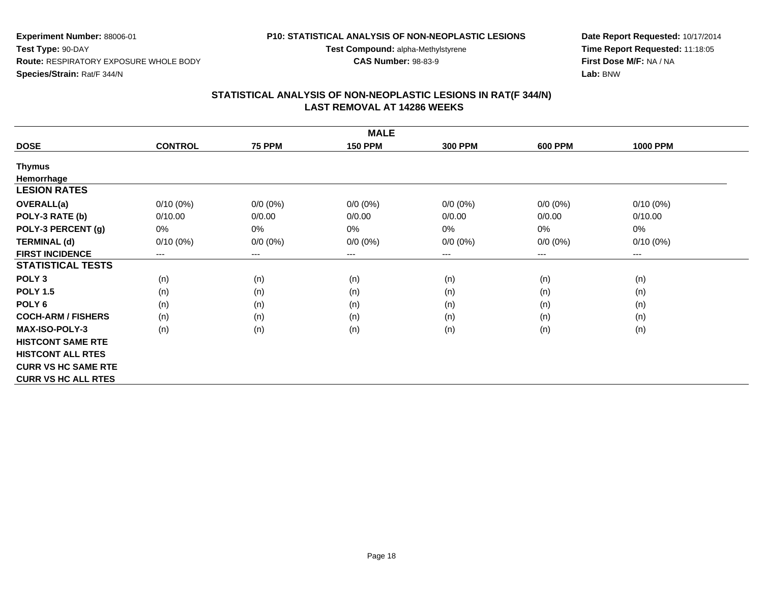#### **P10: STATISTICAL ANALYSIS OF NON-NEOPLASTIC LESIONS**

**Test Compound:** alpha-Methylstyrene

**CAS Number:** 98-83-9

**Date Report Requested:** 10/17/2014**Time Report Requested:** 11:18:05**First Dose M/F:** NA / NA**Lab:** BNW

| <b>MALE</b>                |                |               |                |                |                |                 |  |  |  |
|----------------------------|----------------|---------------|----------------|----------------|----------------|-----------------|--|--|--|
| <b>DOSE</b>                | <b>CONTROL</b> | <b>75 PPM</b> | <b>150 PPM</b> | <b>300 PPM</b> | <b>600 PPM</b> | <b>1000 PPM</b> |  |  |  |
| <b>Thymus</b>              |                |               |                |                |                |                 |  |  |  |
| Hemorrhage                 |                |               |                |                |                |                 |  |  |  |
| <b>LESION RATES</b>        |                |               |                |                |                |                 |  |  |  |
| <b>OVERALL(a)</b>          | $0/10(0\%)$    | $0/0 (0\%)$   | $0/0 (0\%)$    | $0/0 (0\%)$    | $0/0 (0\%)$    | $0/10(0\%)$     |  |  |  |
| POLY-3 RATE (b)            | 0/10.00        | 0/0.00        | 0/0.00         | 0/0.00         | 0/0.00         | 0/10.00         |  |  |  |
| POLY-3 PERCENT (g)         | 0%             | 0%            | 0%             | $0\%$          | 0%             | 0%              |  |  |  |
| <b>TERMINAL (d)</b>        | $0/10(0\%)$    | $0/0 (0\%)$   | $0/0 (0\%)$    | $0/0 (0\%)$    | $0/0 (0\%)$    | $0/10(0\%)$     |  |  |  |
| <b>FIRST INCIDENCE</b>     | $---$          | $---$         | ---            | ---            | ---            | $---$           |  |  |  |
| <b>STATISTICAL TESTS</b>   |                |               |                |                |                |                 |  |  |  |
| POLY <sub>3</sub>          | (n)            | (n)           | (n)            | (n)            | (n)            | (n)             |  |  |  |
| <b>POLY 1.5</b>            | (n)            | (n)           | (n)            | (n)            | (n)            | (n)             |  |  |  |
| POLY <sub>6</sub>          | (n)            | (n)           | (n)            | (n)            | (n)            | (n)             |  |  |  |
| <b>COCH-ARM / FISHERS</b>  | (n)            | (n)           | (n)            | (n)            | (n)            | (n)             |  |  |  |
| <b>MAX-ISO-POLY-3</b>      | (n)            | (n)           | (n)            | (n)            | (n)            | (n)             |  |  |  |
| <b>HISTCONT SAME RTE</b>   |                |               |                |                |                |                 |  |  |  |
| <b>HISTCONT ALL RTES</b>   |                |               |                |                |                |                 |  |  |  |
| <b>CURR VS HC SAME RTE</b> |                |               |                |                |                |                 |  |  |  |
| <b>CURR VS HC ALL RTES</b> |                |               |                |                |                |                 |  |  |  |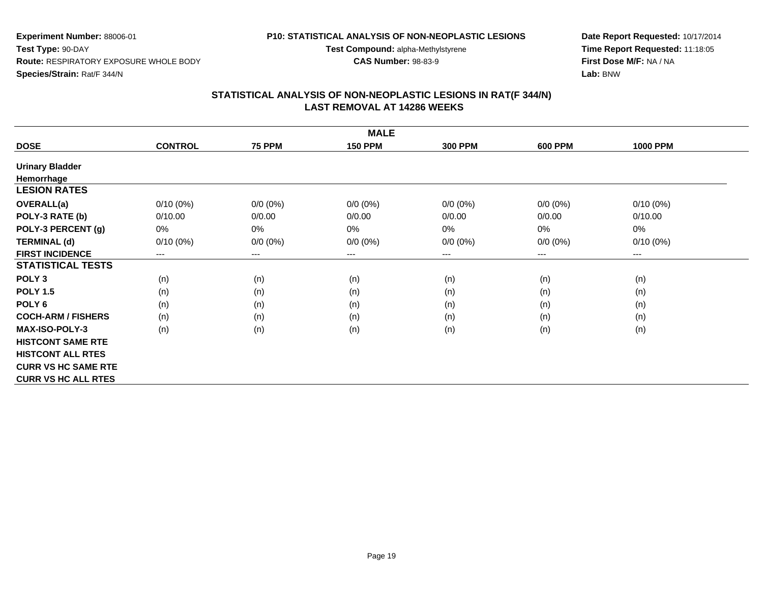#### **P10: STATISTICAL ANALYSIS OF NON-NEOPLASTIC LESIONS**

**Test Compound:** alpha-Methylstyrene

**CAS Number:** 98-83-9

**Date Report Requested:** 10/17/2014**Time Report Requested:** 11:18:05**First Dose M/F:** NA / NA**Lab:** BNW

| <b>MALE</b>                |                |               |                |                |                |                 |  |  |  |
|----------------------------|----------------|---------------|----------------|----------------|----------------|-----------------|--|--|--|
| <b>DOSE</b>                | <b>CONTROL</b> | <b>75 PPM</b> | <b>150 PPM</b> | <b>300 PPM</b> | <b>600 PPM</b> | <b>1000 PPM</b> |  |  |  |
| <b>Urinary Bladder</b>     |                |               |                |                |                |                 |  |  |  |
| Hemorrhage                 |                |               |                |                |                |                 |  |  |  |
| <b>LESION RATES</b>        |                |               |                |                |                |                 |  |  |  |
| OVERALL(a)                 | $0/10(0\%)$    | $0/0 (0\%)$   | $0/0 (0\%)$    | $0/0 (0\%)$    | $0/0 (0\%)$    | $0/10(0\%)$     |  |  |  |
| POLY-3 RATE (b)            | 0/10.00        | 0/0.00        | 0/0.00         | 0/0.00         | 0/0.00         | 0/10.00         |  |  |  |
| POLY-3 PERCENT (g)         | 0%             | 0%            | 0%             | $0\%$          | 0%             | 0%              |  |  |  |
| <b>TERMINAL (d)</b>        | $0/10(0\%)$    | $0/0 (0\%)$   | $0/0 (0\%)$    | $0/0 (0\%)$    | $0/0 (0\%)$    | $0/10(0\%)$     |  |  |  |
| <b>FIRST INCIDENCE</b>     | $---$          | $---$         | ---            | ---            | ---            | $---$           |  |  |  |
| <b>STATISTICAL TESTS</b>   |                |               |                |                |                |                 |  |  |  |
| POLY <sub>3</sub>          | (n)            | (n)           | (n)            | (n)            | (n)            | (n)             |  |  |  |
| <b>POLY 1.5</b>            | (n)            | (n)           | (n)            | (n)            | (n)            | (n)             |  |  |  |
| POLY <sub>6</sub>          | (n)            | (n)           | (n)            | (n)            | (n)            | (n)             |  |  |  |
| <b>COCH-ARM / FISHERS</b>  | (n)            | (n)           | (n)            | (n)            | (n)            | (n)             |  |  |  |
| <b>MAX-ISO-POLY-3</b>      | (n)            | (n)           | (n)            | (n)            | (n)            | (n)             |  |  |  |
| <b>HISTCONT SAME RTE</b>   |                |               |                |                |                |                 |  |  |  |
| <b>HISTCONT ALL RTES</b>   |                |               |                |                |                |                 |  |  |  |
| <b>CURR VS HC SAME RTE</b> |                |               |                |                |                |                 |  |  |  |
| <b>CURR VS HC ALL RTES</b> |                |               |                |                |                |                 |  |  |  |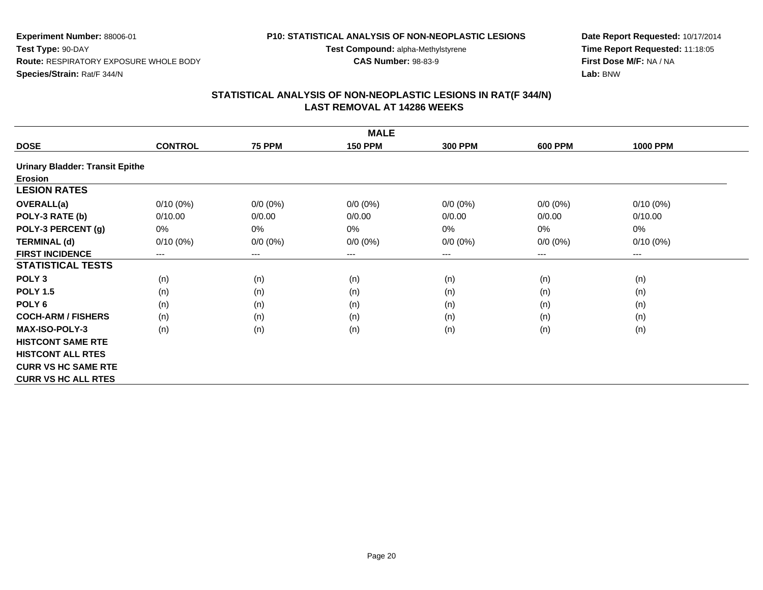# **P10: STATISTICAL ANALYSIS OF NON-NEOPLASTIC LESIONS**

**Experiment Number:** 88006-01**Test Type:** 90-DAY **Route:** RESPIRATORY EXPOSURE WHOLE BODY**Species/Strain:** Rat/F 344/N

**Date Report Requested:** 10/17/2014**Time Report Requested:** 11:18:05**First Dose M/F:** NA / NA**Lab:** BNW

# **STATISTICAL ANALYSIS OF NON-NEOPLASTIC LESIONS IN RAT(F 344/N) LAST REMOVAL AT 14286 WEEKS**

**Test Compound:** alpha-Methylstyrene**CAS Number:** 98-83-9

|                                        | <b>MALE</b>    |                        |                |                |                |                 |  |  |  |  |
|----------------------------------------|----------------|------------------------|----------------|----------------|----------------|-----------------|--|--|--|--|
| <b>DOSE</b>                            | <b>CONTROL</b> | <b>75 PPM</b>          | <b>150 PPM</b> | <b>300 PPM</b> | <b>600 PPM</b> | <b>1000 PPM</b> |  |  |  |  |
| <b>Urinary Bladder: Transit Epithe</b> |                |                        |                |                |                |                 |  |  |  |  |
| <b>Erosion</b>                         |                |                        |                |                |                |                 |  |  |  |  |
| <b>LESION RATES</b>                    |                |                        |                |                |                |                 |  |  |  |  |
| OVERALL(a)                             | $0/10(0\%)$    | $0/0 (0\%)$            | $0/0 (0\%)$    | $0/0 (0\%)$    | $0/0(0\%)$     | $0/10(0\%)$     |  |  |  |  |
| POLY-3 RATE (b)                        | 0/10.00        | 0/0.00                 | 0/0.00         | 0/0.00         | 0/0.00         | 0/10.00         |  |  |  |  |
| POLY-3 PERCENT (g)                     | 0%             | 0%                     | 0%             | 0%             | $0\%$          | 0%              |  |  |  |  |
| <b>TERMINAL (d)</b>                    | $0/10(0\%)$    | $0/0 (0\%)$            | $0/0 (0\%)$    | $0/0 (0\%)$    | $0/0 (0\%)$    | $0/10(0\%)$     |  |  |  |  |
| <b>FIRST INCIDENCE</b>                 | ---            | $\qquad \qquad \cdots$ | $--$           | ---            | ---            | $---$           |  |  |  |  |
| <b>STATISTICAL TESTS</b>               |                |                        |                |                |                |                 |  |  |  |  |
| POLY <sub>3</sub>                      | (n)            | (n)                    | (n)            | (n)            | (n)            | (n)             |  |  |  |  |
| <b>POLY 1.5</b>                        | (n)            | (n)                    | (n)            | (n)            | (n)            | (n)             |  |  |  |  |
| POLY <sub>6</sub>                      | (n)            | (n)                    | (n)            | (n)            | (n)            | (n)             |  |  |  |  |
| <b>COCH-ARM / FISHERS</b>              | (n)            | (n)                    | (n)            | (n)            | (n)            | (n)             |  |  |  |  |
| <b>MAX-ISO-POLY-3</b>                  | (n)            | (n)                    | (n)            | (n)            | (n)            | (n)             |  |  |  |  |
| <b>HISTCONT SAME RTE</b>               |                |                        |                |                |                |                 |  |  |  |  |
| <b>HISTCONT ALL RTES</b>               |                |                        |                |                |                |                 |  |  |  |  |
| <b>CURR VS HC SAME RTE</b>             |                |                        |                |                |                |                 |  |  |  |  |
| <b>CURR VS HC ALL RTES</b>             |                |                        |                |                |                |                 |  |  |  |  |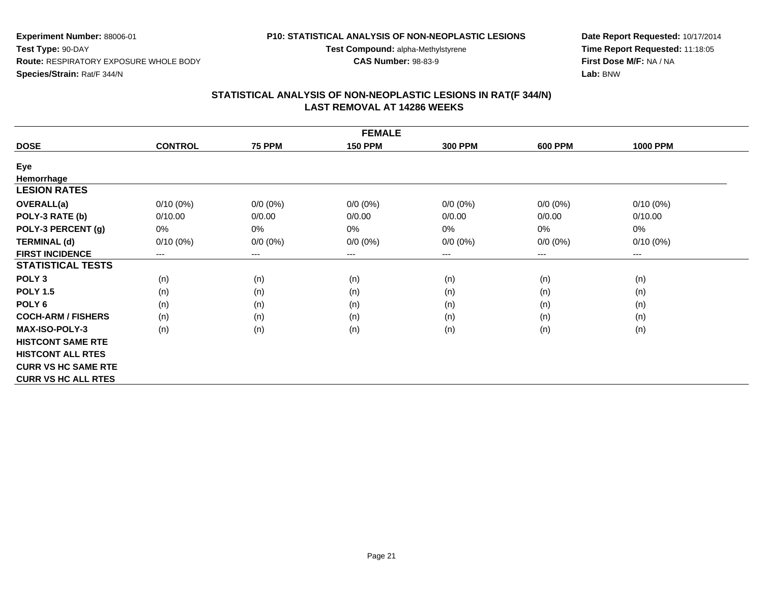#### **P10: STATISTICAL ANALYSIS OF NON-NEOPLASTIC LESIONS**

**Test Compound:** alpha-Methylstyrene

**CAS Number:** 98-83-9

**Date Report Requested:** 10/17/2014**Time Report Requested:** 11:18:05**First Dose M/F:** NA / NA**Lab:** BNW

| <b>FEMALE</b>              |                |                            |                |                |                |                        |  |  |  |
|----------------------------|----------------|----------------------------|----------------|----------------|----------------|------------------------|--|--|--|
| <b>DOSE</b>                | <b>CONTROL</b> | <b>75 PPM</b>              | <b>150 PPM</b> | <b>300 PPM</b> | <b>600 PPM</b> | <b>1000 PPM</b>        |  |  |  |
| Eye                        |                |                            |                |                |                |                        |  |  |  |
| Hemorrhage                 |                |                            |                |                |                |                        |  |  |  |
| <b>LESION RATES</b>        |                |                            |                |                |                |                        |  |  |  |
| <b>OVERALL(a)</b>          | $0/10(0\%)$    | $0/0 (0\%)$                | $0/0 (0\%)$    | $0/0 (0\%)$    | $0/0 (0\%)$    | $0/10(0\%)$            |  |  |  |
| POLY-3 RATE (b)            | 0/10.00        | 0/0.00                     | 0/0.00         | 0/0.00         | 0/0.00         | 0/10.00                |  |  |  |
| POLY-3 PERCENT (g)         | $0\%$          | 0%                         | $0\%$          | 0%             | 0%             | 0%                     |  |  |  |
| <b>TERMINAL (d)</b>        | $0/10(0\%)$    | $0/0 (0\%)$                | $0/0 (0\%)$    | $0/0 (0\%)$    | $0/0 (0\%)$    | $0/10(0\%)$            |  |  |  |
| <b>FIRST INCIDENCE</b>     | $---$          | $\qquad \qquad - \qquad -$ | $--$           | ---            | ---            | $\qquad \qquad \cdots$ |  |  |  |
| <b>STATISTICAL TESTS</b>   |                |                            |                |                |                |                        |  |  |  |
| POLY <sub>3</sub>          | (n)            | (n)                        | (n)            | (n)            | (n)            | (n)                    |  |  |  |
| <b>POLY 1.5</b>            | (n)            | (n)                        | (n)            | (n)            | (n)            | (n)                    |  |  |  |
| POLY 6                     | (n)            | (n)                        | (n)            | (n)            | (n)            | (n)                    |  |  |  |
| <b>COCH-ARM / FISHERS</b>  | (n)            | (n)                        | (n)            | (n)            | (n)            | (n)                    |  |  |  |
| <b>MAX-ISO-POLY-3</b>      | (n)            | (n)                        | (n)            | (n)            | (n)            | (n)                    |  |  |  |
| <b>HISTCONT SAME RTE</b>   |                |                            |                |                |                |                        |  |  |  |
| <b>HISTCONT ALL RTES</b>   |                |                            |                |                |                |                        |  |  |  |
| <b>CURR VS HC SAME RTE</b> |                |                            |                |                |                |                        |  |  |  |
| <b>CURR VS HC ALL RTES</b> |                |                            |                |                |                |                        |  |  |  |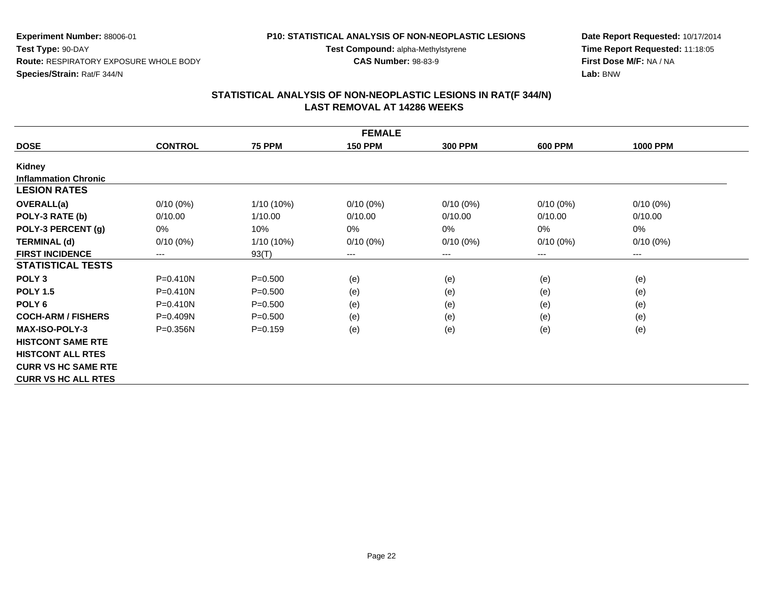# **P10: STATISTICAL ANALYSIS OF NON-NEOPLASTIC LESIONS**

**Test Compound:** alpha-Methylstyrene

**CAS Number:** 98-83-9

**Date Report Requested:** 10/17/2014**Time Report Requested:** 11:18:05**First Dose M/F:** NA / NA**Lab:** BNW

|                             | <b>FEMALE</b>  |               |                |                |                |                 |  |  |  |  |  |
|-----------------------------|----------------|---------------|----------------|----------------|----------------|-----------------|--|--|--|--|--|
| <b>DOSE</b>                 | <b>CONTROL</b> | <b>75 PPM</b> | <b>150 PPM</b> | <b>300 PPM</b> | <b>600 PPM</b> | <b>1000 PPM</b> |  |  |  |  |  |
| Kidney                      |                |               |                |                |                |                 |  |  |  |  |  |
| <b>Inflammation Chronic</b> |                |               |                |                |                |                 |  |  |  |  |  |
| <b>LESION RATES</b>         |                |               |                |                |                |                 |  |  |  |  |  |
| <b>OVERALL(a)</b>           | $0/10(0\%)$    | 1/10 (10%)    | $0/10(0\%)$    | $0/10(0\%)$    | $0/10(0\%)$    | $0/10(0\%)$     |  |  |  |  |  |
| POLY-3 RATE (b)             | 0/10.00        | 1/10.00       | 0/10.00        | 0/10.00        | 0/10.00        | 0/10.00         |  |  |  |  |  |
| POLY-3 PERCENT (g)          | 0%             | 10%           | 0%             | 0%             | 0%             | 0%              |  |  |  |  |  |
| <b>TERMINAL (d)</b>         | $0/10(0\%)$    | $1/10(10\%)$  | $0/10(0\%)$    | $0/10(0\%)$    | $0/10(0\%)$    | $0/10(0\%)$     |  |  |  |  |  |
| <b>FIRST INCIDENCE</b>      | ---            | 93(T)         | ---            | ---            | ---            | $---$           |  |  |  |  |  |
| <b>STATISTICAL TESTS</b>    |                |               |                |                |                |                 |  |  |  |  |  |
| POLY <sub>3</sub>           | $P = 0.410N$   | $P = 0.500$   | (e)            | (e)            | (e)            | (e)             |  |  |  |  |  |
| <b>POLY 1.5</b>             | $P = 0.410N$   | $P = 0.500$   | (e)            | (e)            | (e)            | (e)             |  |  |  |  |  |
| POLY <sub>6</sub>           | $P = 0.410N$   | $P = 0.500$   | (e)            | (e)            | (e)            | (e)             |  |  |  |  |  |
| <b>COCH-ARM / FISHERS</b>   | $P = 0.409N$   | $P = 0.500$   | (e)            | (e)            | (e)            | (e)             |  |  |  |  |  |
| <b>MAX-ISO-POLY-3</b>       | $P = 0.356N$   | $P = 0.159$   | (e)            | (e)            | (e)            | (e)             |  |  |  |  |  |
| <b>HISTCONT SAME RTE</b>    |                |               |                |                |                |                 |  |  |  |  |  |
| <b>HISTCONT ALL RTES</b>    |                |               |                |                |                |                 |  |  |  |  |  |
| <b>CURR VS HC SAME RTE</b>  |                |               |                |                |                |                 |  |  |  |  |  |
| <b>CURR VS HC ALL RTES</b>  |                |               |                |                |                |                 |  |  |  |  |  |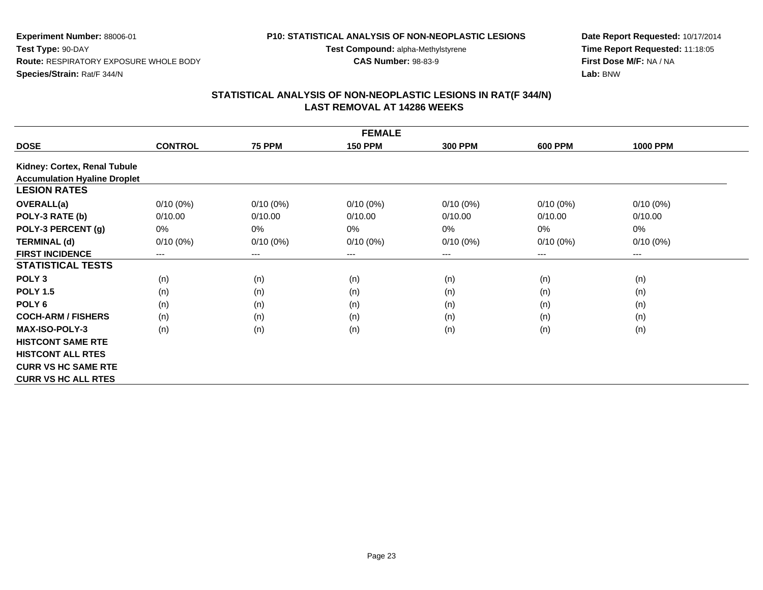# **P10: STATISTICAL ANALYSIS OF NON-NEOPLASTIC LESIONS**

**Test Compound:** alpha-Methylstyrene

**CAS Number:** 98-83-9

**Date Report Requested:** 10/17/2014**Time Report Requested:** 11:18:05**First Dose M/F:** NA / NA**Lab:** BNW

|                                     | <b>FEMALE</b>  |                        |                |                |                |                        |  |  |  |  |
|-------------------------------------|----------------|------------------------|----------------|----------------|----------------|------------------------|--|--|--|--|
| <b>DOSE</b>                         | <b>CONTROL</b> | <b>75 PPM</b>          | <b>150 PPM</b> | <b>300 PPM</b> | <b>600 PPM</b> | <b>1000 PPM</b>        |  |  |  |  |
| Kidney: Cortex, Renal Tubule        |                |                        |                |                |                |                        |  |  |  |  |
| <b>Accumulation Hyaline Droplet</b> |                |                        |                |                |                |                        |  |  |  |  |
| <b>LESION RATES</b>                 |                |                        |                |                |                |                        |  |  |  |  |
| <b>OVERALL(a)</b>                   | $0/10(0\%)$    | $0/10(0\%)$            | $0/10(0\%)$    | $0/10(0\%)$    | $0/10(0\%)$    | $0/10(0\%)$            |  |  |  |  |
| POLY-3 RATE (b)                     | 0/10.00        | 0/10.00                | 0/10.00        | 0/10.00        | 0/10.00        | 0/10.00                |  |  |  |  |
| POLY-3 PERCENT (g)                  | 0%             | $0\%$                  | $0\%$          | 0%             | 0%             | 0%                     |  |  |  |  |
| <b>TERMINAL (d)</b>                 | $0/10(0\%)$    | $0/10(0\%)$            | $0/10(0\%)$    | $0/10(0\%)$    | $0/10(0\%)$    | $0/10(0\%)$            |  |  |  |  |
| <b>FIRST INCIDENCE</b>              | $---$          | $\qquad \qquad \cdots$ | $--$           | ---            | ---            | $\qquad \qquad \cdots$ |  |  |  |  |
| <b>STATISTICAL TESTS</b>            |                |                        |                |                |                |                        |  |  |  |  |
| POLY <sub>3</sub>                   | (n)            | (n)                    | (n)            | (n)            | (n)            | (n)                    |  |  |  |  |
| <b>POLY 1.5</b>                     | (n)            | (n)                    | (n)            | (n)            | (n)            | (n)                    |  |  |  |  |
| POLY <sub>6</sub>                   | (n)            | (n)                    | (n)            | (n)            | (n)            | (n)                    |  |  |  |  |
| <b>COCH-ARM / FISHERS</b>           | (n)            | (n)                    | (n)            | (n)            | (n)            | (n)                    |  |  |  |  |
| <b>MAX-ISO-POLY-3</b>               | (n)            | (n)                    | (n)            | (n)            | (n)            | (n)                    |  |  |  |  |
| <b>HISTCONT SAME RTE</b>            |                |                        |                |                |                |                        |  |  |  |  |
| <b>HISTCONT ALL RTES</b>            |                |                        |                |                |                |                        |  |  |  |  |
| <b>CURR VS HC SAME RTE</b>          |                |                        |                |                |                |                        |  |  |  |  |
| <b>CURR VS HC ALL RTES</b>          |                |                        |                |                |                |                        |  |  |  |  |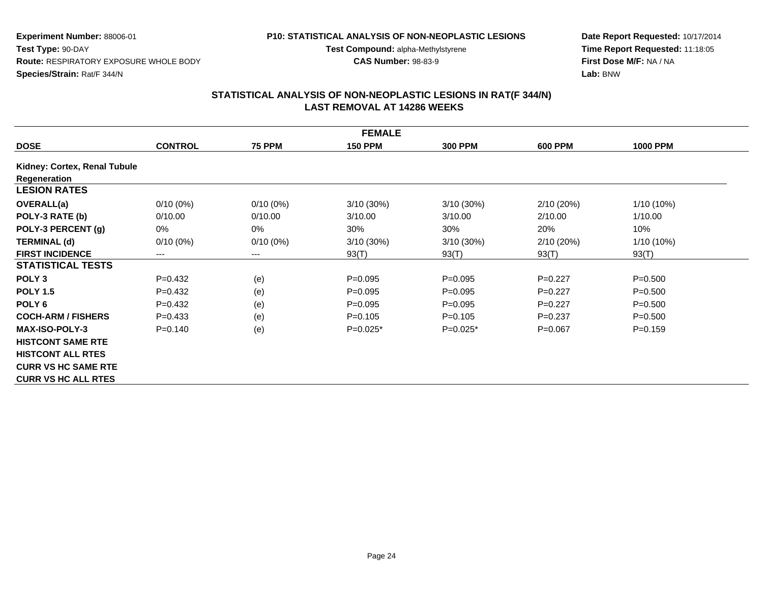# **P10: STATISTICAL ANALYSIS OF NON-NEOPLASTIC LESIONS**

**Test Compound:** alpha-Methylstyrene

**CAS Number:** 98-83-9

**Date Report Requested:** 10/17/2014**Time Report Requested:** 11:18:05**First Dose M/F:** NA / NA**Lab:** BNW

|                              | <b>FEMALE</b>  |                        |                |                |                |                 |  |  |  |  |
|------------------------------|----------------|------------------------|----------------|----------------|----------------|-----------------|--|--|--|--|
| <b>DOSE</b>                  | <b>CONTROL</b> | <b>75 PPM</b>          | <b>150 PPM</b> | <b>300 PPM</b> | <b>600 PPM</b> | <b>1000 PPM</b> |  |  |  |  |
| Kidney: Cortex, Renal Tubule |                |                        |                |                |                |                 |  |  |  |  |
| Regeneration                 |                |                        |                |                |                |                 |  |  |  |  |
| <b>LESION RATES</b>          |                |                        |                |                |                |                 |  |  |  |  |
| <b>OVERALL(a)</b>            | $0/10(0\%)$    | $0/10(0\%)$            | $3/10(30\%)$   | 3/10 (30%)     | 2/10(20%)      | 1/10 (10%)      |  |  |  |  |
| POLY-3 RATE (b)              | 0/10.00        | 0/10.00                | 3/10.00        | 3/10.00        | 2/10.00        | 1/10.00         |  |  |  |  |
| POLY-3 PERCENT (g)           | 0%             | 0%                     | 30%            | 30%            | 20%            | 10%             |  |  |  |  |
| <b>TERMINAL (d)</b>          | $0/10(0\%)$    | $0/10(0\%)$            | $3/10(30\%)$   | 3/10 (30%)     | 2/10(20%)      | 1/10 (10%)      |  |  |  |  |
| <b>FIRST INCIDENCE</b>       | $---$          | $\qquad \qquad \cdots$ | 93(T)          | 93(T)          | 93(T)          | 93(T)           |  |  |  |  |
| <b>STATISTICAL TESTS</b>     |                |                        |                |                |                |                 |  |  |  |  |
| POLY <sub>3</sub>            | $P=0.432$      | (e)                    | $P=0.095$      | $P=0.095$      | $P=0.227$      | $P = 0.500$     |  |  |  |  |
| <b>POLY 1.5</b>              | $P=0.432$      | (e)                    | $P=0.095$      | $P=0.095$      | $P=0.227$      | $P = 0.500$     |  |  |  |  |
| POLY <sub>6</sub>            | $P=0.432$      | (e)                    | $P=0.095$      | $P=0.095$      | $P=0.227$      | $P = 0.500$     |  |  |  |  |
| <b>COCH-ARM / FISHERS</b>    | $P = 0.433$    | (e)                    | $P=0.105$      | $P=0.105$      | $P=0.237$      | $P = 0.500$     |  |  |  |  |
| <b>MAX-ISO-POLY-3</b>        | $P = 0.140$    | (e)                    | $P=0.025*$     | $P=0.025*$     | $P=0.067$      | $P = 0.159$     |  |  |  |  |
| <b>HISTCONT SAME RTE</b>     |                |                        |                |                |                |                 |  |  |  |  |
| <b>HISTCONT ALL RTES</b>     |                |                        |                |                |                |                 |  |  |  |  |
| <b>CURR VS HC SAME RTE</b>   |                |                        |                |                |                |                 |  |  |  |  |
| <b>CURR VS HC ALL RTES</b>   |                |                        |                |                |                |                 |  |  |  |  |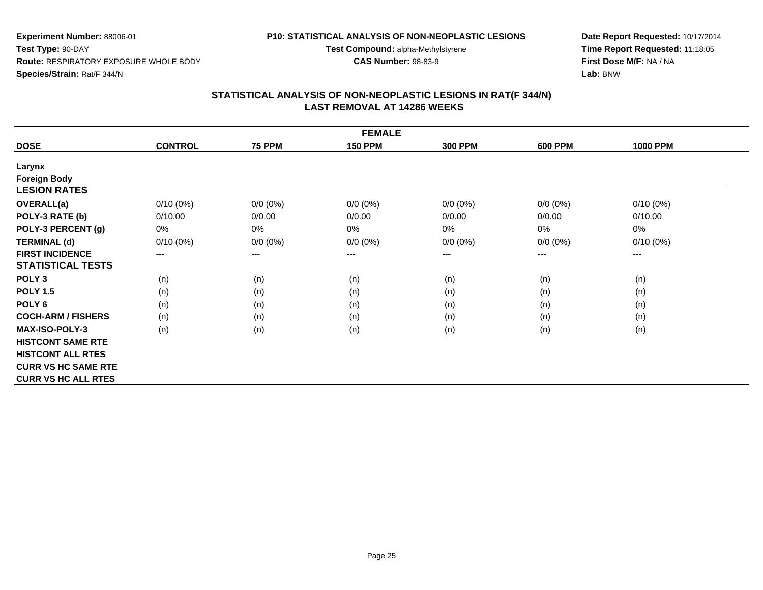#### **P10: STATISTICAL ANALYSIS OF NON-NEOPLASTIC LESIONS**

**Test Compound:** alpha-Methylstyrene

**CAS Number:** 98-83-9

**Date Report Requested:** 10/17/2014**Time Report Requested:** 11:18:05**First Dose M/F:** NA / NA**Lab:** BNW

| <b>FEMALE</b>                              |                |               |                |                |                |                        |  |  |  |
|--------------------------------------------|----------------|---------------|----------------|----------------|----------------|------------------------|--|--|--|
| <b>DOSE</b>                                | <b>CONTROL</b> | <b>75 PPM</b> | <b>150 PPM</b> | <b>300 PPM</b> | <b>600 PPM</b> | <b>1000 PPM</b>        |  |  |  |
| Larynx                                     |                |               |                |                |                |                        |  |  |  |
|                                            |                |               |                |                |                |                        |  |  |  |
| <b>Foreign Body</b><br><b>LESION RATES</b> |                |               |                |                |                |                        |  |  |  |
| <b>OVERALL(a)</b>                          | $0/10(0\%)$    | $0/0 (0\%)$   | $0/0 (0\%)$    | $0/0 (0\%)$    | $0/0 (0\%)$    | $0/10(0\%)$            |  |  |  |
| POLY-3 RATE (b)                            | 0/10.00        | 0/0.00        | 0/0.00         | 0/0.00         | 0/0.00         | 0/10.00                |  |  |  |
| POLY-3 PERCENT (g)                         | 0%             | 0%            | 0%             | 0%             | 0%             | 0%                     |  |  |  |
| <b>TERMINAL (d)</b>                        | $0/10(0\%)$    | $0/0 (0\%)$   | $0/0 (0\%)$    | $0/0 (0\%)$    | $0/0 (0\%)$    | $0/10(0\%)$            |  |  |  |
| <b>FIRST INCIDENCE</b>                     | $---$          | $---$         | $---$          | ---            | ---            | $\qquad \qquad \cdots$ |  |  |  |
| <b>STATISTICAL TESTS</b>                   |                |               |                |                |                |                        |  |  |  |
| POLY <sub>3</sub>                          | (n)            | (n)           | (n)            | (n)            | (n)            | (n)                    |  |  |  |
| <b>POLY 1.5</b>                            | (n)            | (n)           | (n)            | (n)            | (n)            | (n)                    |  |  |  |
| POLY <sub>6</sub>                          | (n)            | (n)           | (n)            | (n)            | (n)            | (n)                    |  |  |  |
| <b>COCH-ARM / FISHERS</b>                  | (n)            | (n)           | (n)            | (n)            | (n)            | (n)                    |  |  |  |
| <b>MAX-ISO-POLY-3</b>                      | (n)            | (n)           | (n)            | (n)            | (n)            | (n)                    |  |  |  |
| <b>HISTCONT SAME RTE</b>                   |                |               |                |                |                |                        |  |  |  |
| <b>HISTCONT ALL RTES</b>                   |                |               |                |                |                |                        |  |  |  |
| <b>CURR VS HC SAME RTE</b>                 |                |               |                |                |                |                        |  |  |  |
| <b>CURR VS HC ALL RTES</b>                 |                |               |                |                |                |                        |  |  |  |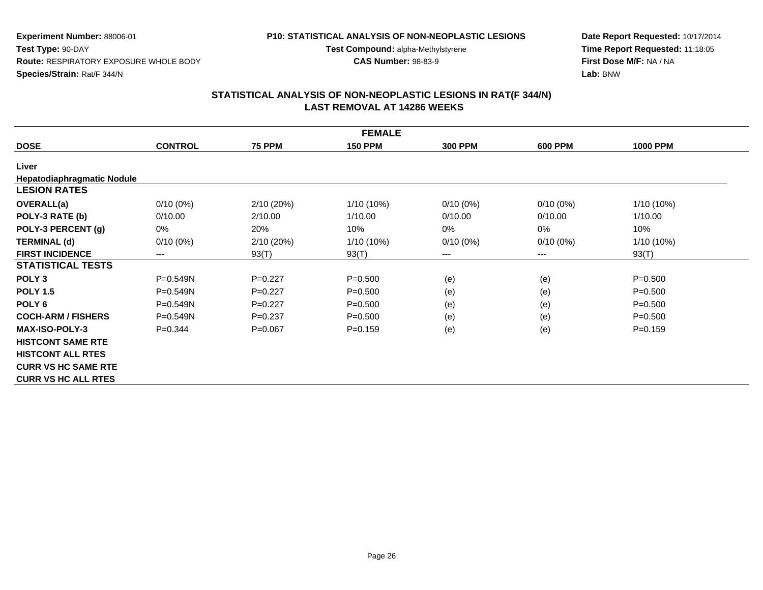# **P10: STATISTICAL ANALYSIS OF NON-NEOPLASTIC LESIONS**

**Test Compound:** alpha-Methylstyrene

**CAS Number:** 98-83-9

**Date Report Requested:** 10/17/2014**Time Report Requested:** 11:18:05**First Dose M/F:** NA / NA**Lab:** BNW

|                                   | <b>FEMALE</b>  |               |                |                |                |                 |  |  |  |  |
|-----------------------------------|----------------|---------------|----------------|----------------|----------------|-----------------|--|--|--|--|
| <b>DOSE</b>                       | <b>CONTROL</b> | <b>75 PPM</b> | <b>150 PPM</b> | <b>300 PPM</b> | <b>600 PPM</b> | <b>1000 PPM</b> |  |  |  |  |
| Liver                             |                |               |                |                |                |                 |  |  |  |  |
| <b>Hepatodiaphragmatic Nodule</b> |                |               |                |                |                |                 |  |  |  |  |
| <b>LESION RATES</b>               |                |               |                |                |                |                 |  |  |  |  |
| <b>OVERALL(a)</b>                 | $0/10(0\%)$    | 2/10 (20%)    | 1/10 (10%)     | $0/10(0\%)$    | $0/10(0\%)$    | 1/10 (10%)      |  |  |  |  |
| POLY-3 RATE (b)                   | 0/10.00        | 2/10.00       | 1/10.00        | 0/10.00        | 0/10.00        | 1/10.00         |  |  |  |  |
| POLY-3 PERCENT (g)                | 0%             | 20%           | 10%            | $0\%$          | 0%             | 10%             |  |  |  |  |
| <b>TERMINAL (d)</b>               | $0/10(0\%)$    | 2/10 (20%)    | 1/10 (10%)     | $0/10(0\%)$    | $0/10(0\%)$    | 1/10 (10%)      |  |  |  |  |
| <b>FIRST INCIDENCE</b>            | $---$          | 93(T)         | 93(T)          | ---            | ---            | 93(T)           |  |  |  |  |
| <b>STATISTICAL TESTS</b>          |                |               |                |                |                |                 |  |  |  |  |
| POLY <sub>3</sub>                 | P=0.549N       | $P=0.227$     | $P = 0.500$    | (e)            | (e)            | $P = 0.500$     |  |  |  |  |
| <b>POLY 1.5</b>                   | P=0.549N       | $P=0.227$     | $P = 0.500$    | (e)            | (e)            | $P = 0.500$     |  |  |  |  |
| POLY <sub>6</sub>                 | P=0.549N       | $P=0.227$     | $P = 0.500$    | (e)            | (e)            | $P = 0.500$     |  |  |  |  |
| <b>COCH-ARM / FISHERS</b>         | P=0.549N       | $P=0.237$     | $P = 0.500$    | (e)            | (e)            | $P = 0.500$     |  |  |  |  |
| <b>MAX-ISO-POLY-3</b>             | $P=0.344$      | $P=0.067$     | $P=0.159$      | (e)            | (e)            | $P = 0.159$     |  |  |  |  |
| <b>HISTCONT SAME RTE</b>          |                |               |                |                |                |                 |  |  |  |  |
| <b>HISTCONT ALL RTES</b>          |                |               |                |                |                |                 |  |  |  |  |
| <b>CURR VS HC SAME RTE</b>        |                |               |                |                |                |                 |  |  |  |  |
| <b>CURR VS HC ALL RTES</b>        |                |               |                |                |                |                 |  |  |  |  |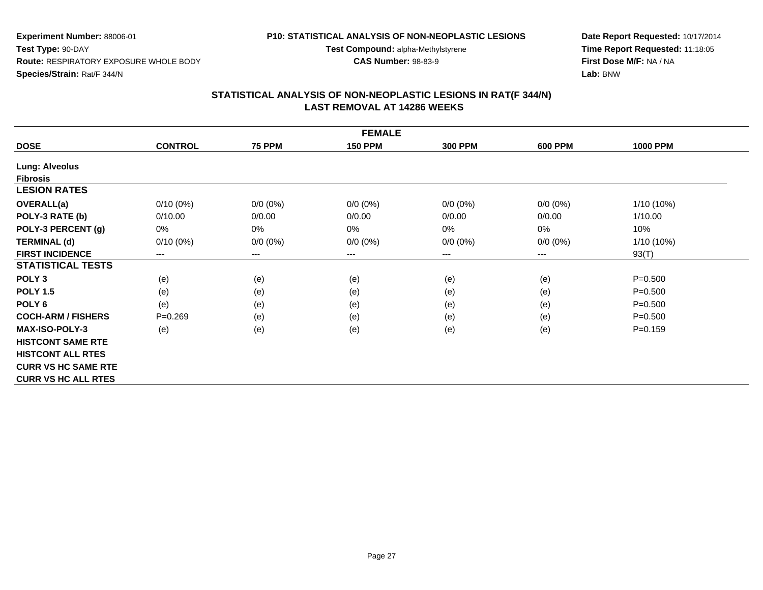#### **P10: STATISTICAL ANALYSIS OF NON-NEOPLASTIC LESIONS**

**Test Compound:** alpha-Methylstyrene

**CAS Number:** 98-83-9

**Date Report Requested:** 10/17/2014**Time Report Requested:** 11:18:05**First Dose M/F:** NA / NA**Lab:** BNW

|                            | <b>FEMALE</b>  |               |                |                |                |                 |  |  |  |  |
|----------------------------|----------------|---------------|----------------|----------------|----------------|-----------------|--|--|--|--|
| <b>DOSE</b>                | <b>CONTROL</b> | <b>75 PPM</b> | <b>150 PPM</b> | <b>300 PPM</b> | <b>600 PPM</b> | <b>1000 PPM</b> |  |  |  |  |
| <b>Lung: Alveolus</b>      |                |               |                |                |                |                 |  |  |  |  |
| <b>Fibrosis</b>            |                |               |                |                |                |                 |  |  |  |  |
| <b>LESION RATES</b>        |                |               |                |                |                |                 |  |  |  |  |
| <b>OVERALL(a)</b>          | $0/10(0\%)$    | $0/0 (0\%)$   | $0/0 (0\%)$    | $0/0 (0\%)$    | $0/0 (0\%)$    | $1/10(10\%)$    |  |  |  |  |
| POLY-3 RATE (b)            | 0/10.00        | 0/0.00        | 0/0.00         | 0/0.00         | 0/0.00         | 1/10.00         |  |  |  |  |
| POLY-3 PERCENT (g)         | 0%             | 0%            | 0%             | 0%             | 0%             | 10%             |  |  |  |  |
| <b>TERMINAL (d)</b>        | $0/10(0\%)$    | $0/0 (0\%)$   | $0/0 (0\%)$    | $0/0 (0\%)$    | $0/0 (0\%)$    | $1/10(10\%)$    |  |  |  |  |
| <b>FIRST INCIDENCE</b>     | ---            | $---$         | $---$          | ---            | ---            | 93(T)           |  |  |  |  |
| <b>STATISTICAL TESTS</b>   |                |               |                |                |                |                 |  |  |  |  |
| POLY <sub>3</sub>          | (e)            | (e)           | (e)            | (e)            | (e)            | $P = 0.500$     |  |  |  |  |
| <b>POLY 1.5</b>            | (e)            | (e)           | (e)            | (e)            | (e)            | $P = 0.500$     |  |  |  |  |
| POLY <sub>6</sub>          | (e)            | (e)           | (e)            | (e)            | (e)            | $P = 0.500$     |  |  |  |  |
| <b>COCH-ARM / FISHERS</b>  | $P=0.269$      | (e)           | (e)            | (e)            | (e)            | $P = 0.500$     |  |  |  |  |
| <b>MAX-ISO-POLY-3</b>      | (e)            | (e)           | (e)            | (e)            | (e)            | $P = 0.159$     |  |  |  |  |
| <b>HISTCONT SAME RTE</b>   |                |               |                |                |                |                 |  |  |  |  |
| <b>HISTCONT ALL RTES</b>   |                |               |                |                |                |                 |  |  |  |  |
| <b>CURR VS HC SAME RTE</b> |                |               |                |                |                |                 |  |  |  |  |
| <b>CURR VS HC ALL RTES</b> |                |               |                |                |                |                 |  |  |  |  |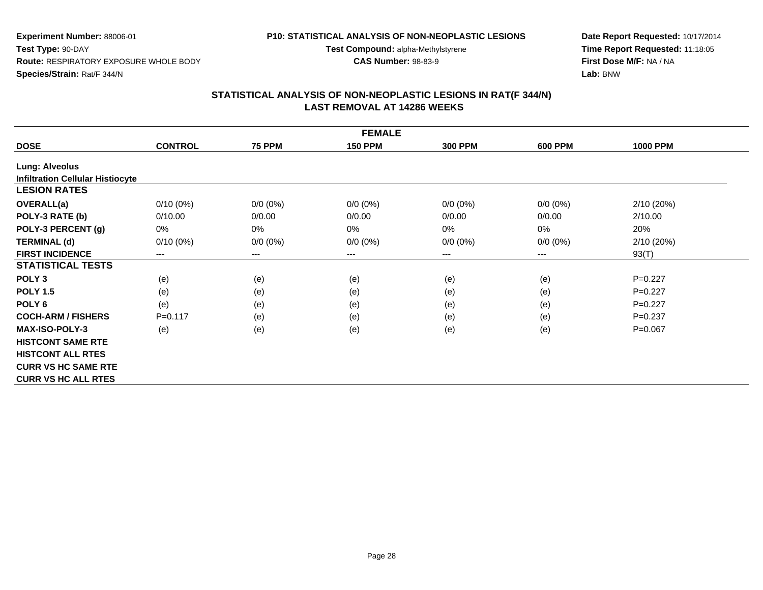# **P10: STATISTICAL ANALYSIS OF NON-NEOPLASTIC LESIONS**

**Test Compound:** alpha-Methylstyrene

**CAS Number:** 98-83-9

**Date Report Requested:** 10/17/2014**Time Report Requested:** 11:18:05**First Dose M/F:** NA / NA**Lab:** BNW

|                                         | <b>FEMALE</b>  |                        |                |                |                |                 |  |  |  |  |
|-----------------------------------------|----------------|------------------------|----------------|----------------|----------------|-----------------|--|--|--|--|
| <b>DOSE</b>                             | <b>CONTROL</b> | <b>75 PPM</b>          | <b>150 PPM</b> | <b>300 PPM</b> | <b>600 PPM</b> | <b>1000 PPM</b> |  |  |  |  |
| Lung: Alveolus                          |                |                        |                |                |                |                 |  |  |  |  |
| <b>Infiltration Cellular Histiocyte</b> |                |                        |                |                |                |                 |  |  |  |  |
| <b>LESION RATES</b>                     |                |                        |                |                |                |                 |  |  |  |  |
| <b>OVERALL(a)</b>                       | $0/10(0\%)$    | $0/0 (0\%)$            | $0/0 (0\%)$    | $0/0 (0\%)$    | $0/0 (0\%)$    | 2/10(20%)       |  |  |  |  |
| POLY-3 RATE (b)                         | 0/10.00        | 0/0.00                 | 0/0.00         | 0/0.00         | 0/0.00         | 2/10.00         |  |  |  |  |
| POLY-3 PERCENT (g)                      | $0\%$          | $0\%$                  | $0\%$          | 0%             | 0%             | 20%             |  |  |  |  |
| <b>TERMINAL (d)</b>                     | $0/10(0\%)$    | $0/0 (0\%)$            | $0/0 (0\%)$    | $0/0 (0\%)$    | $0/0 (0\%)$    | 2/10 (20%)      |  |  |  |  |
| <b>FIRST INCIDENCE</b>                  | $---$          | $\qquad \qquad \cdots$ | ---            | ---            | ---            | 93(T)           |  |  |  |  |
| <b>STATISTICAL TESTS</b>                |                |                        |                |                |                |                 |  |  |  |  |
| POLY <sub>3</sub>                       | (e)            | (e)                    | (e)            | (e)            | (e)            | $P=0.227$       |  |  |  |  |
| <b>POLY 1.5</b>                         | (e)            | (e)                    | (e)            | (e)            | (e)            | $P=0.227$       |  |  |  |  |
| POLY 6                                  | (e)            | (e)                    | (e)            | (e)            | (e)            | $P=0.227$       |  |  |  |  |
| <b>COCH-ARM / FISHERS</b>               | $P = 0.117$    | (e)                    | (e)            | (e)            | (e)            | $P=0.237$       |  |  |  |  |
| <b>MAX-ISO-POLY-3</b>                   | (e)            | (e)                    | (e)            | (e)            | (e)            | $P=0.067$       |  |  |  |  |
| <b>HISTCONT SAME RTE</b>                |                |                        |                |                |                |                 |  |  |  |  |
| <b>HISTCONT ALL RTES</b>                |                |                        |                |                |                |                 |  |  |  |  |
| <b>CURR VS HC SAME RTE</b>              |                |                        |                |                |                |                 |  |  |  |  |
| <b>CURR VS HC ALL RTES</b>              |                |                        |                |                |                |                 |  |  |  |  |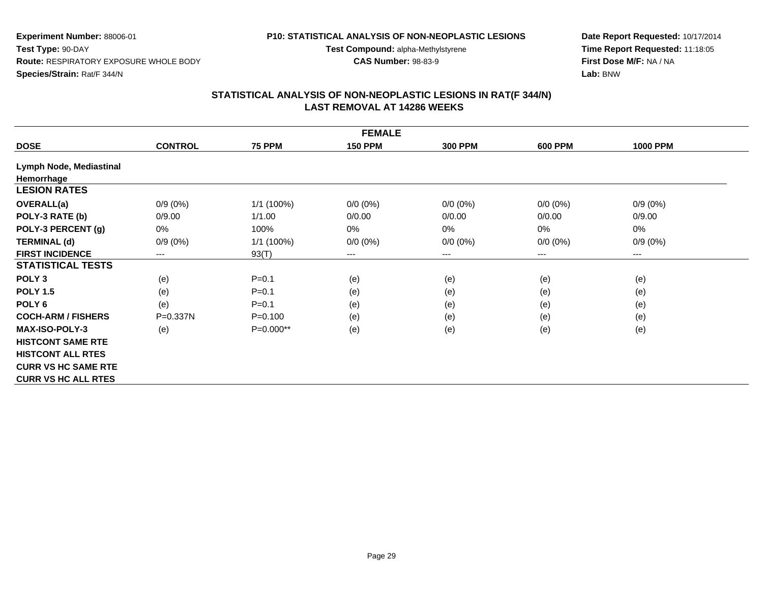# **P10: STATISTICAL ANALYSIS OF NON-NEOPLASTIC LESIONS**

**Test Compound:** alpha-Methylstyrene

**CAS Number:** 98-83-9

**Date Report Requested:** 10/17/2014**Time Report Requested:** 11:18:05**First Dose M/F:** NA / NA**Lab:** BNW

|                            | <b>FEMALE</b>  |               |                |                |                |                 |  |  |  |  |
|----------------------------|----------------|---------------|----------------|----------------|----------------|-----------------|--|--|--|--|
| <b>DOSE</b>                | <b>CONTROL</b> | <b>75 PPM</b> | <b>150 PPM</b> | <b>300 PPM</b> | <b>600 PPM</b> | <b>1000 PPM</b> |  |  |  |  |
| Lymph Node, Mediastinal    |                |               |                |                |                |                 |  |  |  |  |
| Hemorrhage                 |                |               |                |                |                |                 |  |  |  |  |
| <b>LESION RATES</b>        |                |               |                |                |                |                 |  |  |  |  |
| <b>OVERALL(a)</b>          | $0/9(0\%)$     | 1/1 (100%)    | $0/0 (0\%)$    | $0/0 (0\%)$    | $0/0 (0\%)$    | $0/9(0\%)$      |  |  |  |  |
| POLY-3 RATE (b)            | 0/9.00         | 1/1.00        | 0/0.00         | 0/0.00         | 0/0.00         | 0/9.00          |  |  |  |  |
| POLY-3 PERCENT (g)         | 0%             | 100%          | 0%             | 0%             | 0%             | 0%              |  |  |  |  |
| <b>TERMINAL (d)</b>        | $0/9(0\%)$     | $1/1$ (100%)  | $0/0 (0\%)$    | $0/0 (0\%)$    | $0/0 (0\%)$    | $0/9(0\%)$      |  |  |  |  |
| <b>FIRST INCIDENCE</b>     | ---            | 93(T)         | $--$           | ---            | $---$          | ---             |  |  |  |  |
| <b>STATISTICAL TESTS</b>   |                |               |                |                |                |                 |  |  |  |  |
| POLY <sub>3</sub>          | (e)            | $P = 0.1$     | (e)            | (e)            | (e)            | (e)             |  |  |  |  |
| <b>POLY 1.5</b>            | (e)            | $P = 0.1$     | (e)            | (e)            | (e)            | (e)             |  |  |  |  |
| POLY <sub>6</sub>          | (e)            | $P = 0.1$     | (e)            | (e)            | (e)            | (e)             |  |  |  |  |
| <b>COCH-ARM / FISHERS</b>  | P=0.337N       | $P = 0.100$   | (e)            | (e)            | (e)            | (e)             |  |  |  |  |
| <b>MAX-ISO-POLY-3</b>      | (e)            | $P=0.000**$   | (e)            | (e)            | (e)            | (e)             |  |  |  |  |
| <b>HISTCONT SAME RTE</b>   |                |               |                |                |                |                 |  |  |  |  |
| <b>HISTCONT ALL RTES</b>   |                |               |                |                |                |                 |  |  |  |  |
| <b>CURR VS HC SAME RTE</b> |                |               |                |                |                |                 |  |  |  |  |
| <b>CURR VS HC ALL RTES</b> |                |               |                |                |                |                 |  |  |  |  |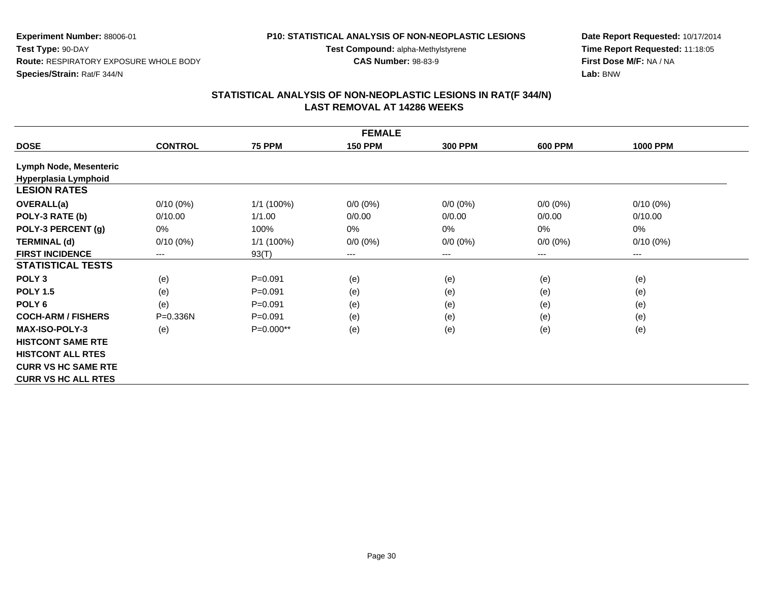# **P10: STATISTICAL ANALYSIS OF NON-NEOPLASTIC LESIONS**

**Test Compound:** alpha-Methylstyrene

**CAS Number:** 98-83-9

**Date Report Requested:** 10/17/2014**Time Report Requested:** 11:18:05**First Dose M/F:** NA / NA**Lab:** BNW

|                            | <b>FEMALE</b>  |               |                |                |                |                 |  |  |  |  |
|----------------------------|----------------|---------------|----------------|----------------|----------------|-----------------|--|--|--|--|
| <b>DOSE</b>                | <b>CONTROL</b> | <b>75 PPM</b> | <b>150 PPM</b> | <b>300 PPM</b> | <b>600 PPM</b> | <b>1000 PPM</b> |  |  |  |  |
| Lymph Node, Mesenteric     |                |               |                |                |                |                 |  |  |  |  |
| Hyperplasia Lymphoid       |                |               |                |                |                |                 |  |  |  |  |
| <b>LESION RATES</b>        |                |               |                |                |                |                 |  |  |  |  |
| <b>OVERALL(a)</b>          | $0/10(0\%)$    | 1/1 (100%)    | $0/0 (0\%)$    | $0/0 (0\%)$    | $0/0 (0\%)$    | $0/10(0\%)$     |  |  |  |  |
| POLY-3 RATE (b)            | 0/10.00        | 1/1.00        | 0/0.00         | 0/0.00         | 0/0.00         | 0/10.00         |  |  |  |  |
| POLY-3 PERCENT (g)         | 0%             | 100%          | $0\%$          | 0%             | 0%             | 0%              |  |  |  |  |
| <b>TERMINAL (d)</b>        | $0/10(0\%)$    | $1/1$ (100%)  | $0/0 (0\%)$    | $0/0 (0\%)$    | $0/0 (0\%)$    | $0/10(0\%)$     |  |  |  |  |
| <b>FIRST INCIDENCE</b>     | ---            | 93(T)         | $---$          | ---            | ---            | $---$           |  |  |  |  |
| <b>STATISTICAL TESTS</b>   |                |               |                |                |                |                 |  |  |  |  |
| POLY <sub>3</sub>          | (e)            | $P = 0.091$   | (e)            | (e)            | (e)            | (e)             |  |  |  |  |
| <b>POLY 1.5</b>            | (e)            | $P = 0.091$   | (e)            | (e)            | (e)            | (e)             |  |  |  |  |
| POLY 6                     | (e)            | $P = 0.091$   | (e)            | (e)            | (e)            | (e)             |  |  |  |  |
| <b>COCH-ARM / FISHERS</b>  | P=0.336N       | $P = 0.091$   | (e)            | (e)            | (e)            | (e)             |  |  |  |  |
| <b>MAX-ISO-POLY-3</b>      | (e)            | $P=0.000**$   | (e)            | (e)            | (e)            | (e)             |  |  |  |  |
| <b>HISTCONT SAME RTE</b>   |                |               |                |                |                |                 |  |  |  |  |
| <b>HISTCONT ALL RTES</b>   |                |               |                |                |                |                 |  |  |  |  |
| <b>CURR VS HC SAME RTE</b> |                |               |                |                |                |                 |  |  |  |  |
| <b>CURR VS HC ALL RTES</b> |                |               |                |                |                |                 |  |  |  |  |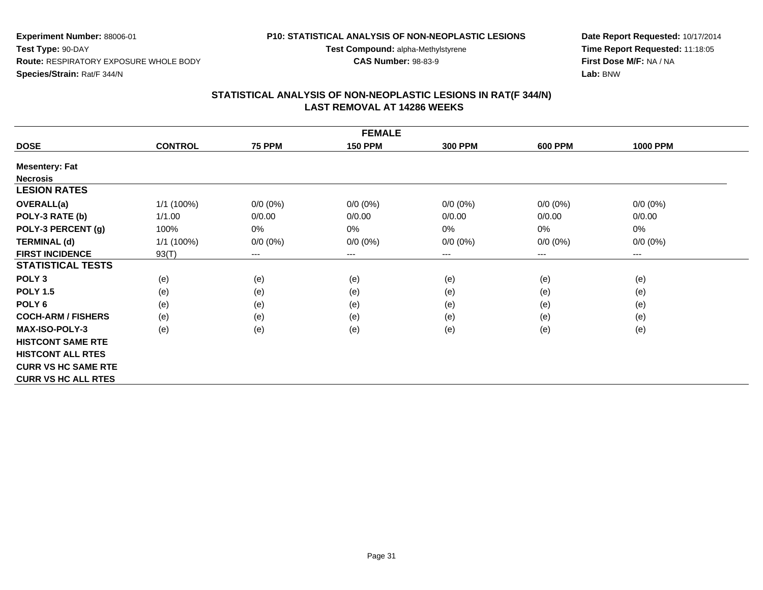#### **P10: STATISTICAL ANALYSIS OF NON-NEOPLASTIC LESIONS**

**Test Compound:** alpha-Methylstyrene

**CAS Number:** 98-83-9

**Date Report Requested:** 10/17/2014**Time Report Requested:** 11:18:05**First Dose M/F:** NA / NA**Lab:** BNW

|                            | <b>FEMALE</b>  |                            |                |                |             |                 |  |  |  |  |
|----------------------------|----------------|----------------------------|----------------|----------------|-------------|-----------------|--|--|--|--|
| <b>DOSE</b>                | <b>CONTROL</b> | <b>75 PPM</b>              | <b>150 PPM</b> | <b>300 PPM</b> | 600 PPM     | <b>1000 PPM</b> |  |  |  |  |
| <b>Mesentery: Fat</b>      |                |                            |                |                |             |                 |  |  |  |  |
| <b>Necrosis</b>            |                |                            |                |                |             |                 |  |  |  |  |
| <b>LESION RATES</b>        |                |                            |                |                |             |                 |  |  |  |  |
| <b>OVERALL(a)</b>          | 1/1 (100%)     | $0/0 (0\%)$                | $0/0 (0\%)$    | $0/0 (0\%)$    | $0/0 (0\%)$ | $0/0 (0\%)$     |  |  |  |  |
| POLY-3 RATE (b)            | 1/1.00         | 0/0.00                     | 0/0.00         | 0/0.00         | 0/0.00      | 0/0.00          |  |  |  |  |
| POLY-3 PERCENT (g)         | 100%           | 0%                         | 0%             | 0%             | 0%          | 0%              |  |  |  |  |
| <b>TERMINAL (d)</b>        | $1/1$ (100%)   | $0/0 (0\%)$                | $0/0 (0\%)$    | $0/0 (0\%)$    | $0/0 (0\%)$ | $0/0 (0\%)$     |  |  |  |  |
| <b>FIRST INCIDENCE</b>     | 93(T)          | $\qquad \qquad - \qquad -$ | $---$          | ---            | $---$       | $---$           |  |  |  |  |
| <b>STATISTICAL TESTS</b>   |                |                            |                |                |             |                 |  |  |  |  |
| POLY <sub>3</sub>          | (e)            | (e)                        | (e)            | (e)            | (e)         | (e)             |  |  |  |  |
| <b>POLY 1.5</b>            | (e)            | (e)                        | (e)            | (e)            | (e)         | (e)             |  |  |  |  |
| POLY <sub>6</sub>          | (e)            | (e)                        | (e)            | (e)            | (e)         | (e)             |  |  |  |  |
| <b>COCH-ARM / FISHERS</b>  | (e)            | (e)                        | (e)            | (e)            | (e)         | (e)             |  |  |  |  |
| <b>MAX-ISO-POLY-3</b>      | (e)            | (e)                        | (e)            | (e)            | (e)         | (e)             |  |  |  |  |
| <b>HISTCONT SAME RTE</b>   |                |                            |                |                |             |                 |  |  |  |  |
| <b>HISTCONT ALL RTES</b>   |                |                            |                |                |             |                 |  |  |  |  |
| <b>CURR VS HC SAME RTE</b> |                |                            |                |                |             |                 |  |  |  |  |
| <b>CURR VS HC ALL RTES</b> |                |                            |                |                |             |                 |  |  |  |  |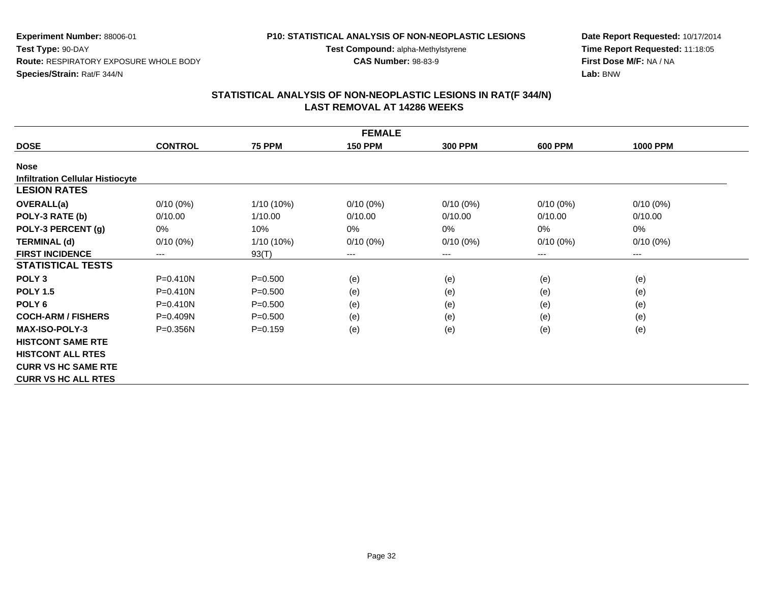# **P10: STATISTICAL ANALYSIS OF NON-NEOPLASTIC LESIONS**

**Test Compound:** alpha-Methylstyrene

**CAS Number:** 98-83-9

**Date Report Requested:** 10/17/2014**Time Report Requested:** 11:18:05**First Dose M/F:** NA / NA**Lab:** BNW

| <b>FEMALE</b>                           |                            |               |                |                |                |                 |  |  |  |
|-----------------------------------------|----------------------------|---------------|----------------|----------------|----------------|-----------------|--|--|--|
| <b>DOSE</b>                             | <b>CONTROL</b>             | <b>75 PPM</b> | <b>150 PPM</b> | <b>300 PPM</b> | <b>600 PPM</b> | <b>1000 PPM</b> |  |  |  |
| <b>Nose</b>                             |                            |               |                |                |                |                 |  |  |  |
| <b>Infiltration Cellular Histiocyte</b> |                            |               |                |                |                |                 |  |  |  |
| <b>LESION RATES</b>                     |                            |               |                |                |                |                 |  |  |  |
| <b>OVERALL(a)</b>                       | $0/10(0\%)$                | 1/10 (10%)    | $0/10(0\%)$    | $0/10(0\%)$    | $0/10(0\%)$    | $0/10(0\%)$     |  |  |  |
| POLY-3 RATE (b)                         | 0/10.00                    | 1/10.00       | 0/10.00        | 0/10.00        | 0/10.00        | 0/10.00         |  |  |  |
| POLY-3 PERCENT (g)                      | 0%                         | 10%           | 0%             | 0%             | $0\%$          | 0%              |  |  |  |
| <b>TERMINAL (d)</b>                     | $0/10(0\%)$                | 1/10 (10%)    | $0/10(0\%)$    | $0/10(0\%)$    | $0/10(0\%)$    | $0/10(0\%)$     |  |  |  |
| <b>FIRST INCIDENCE</b>                  | $\qquad \qquad - \qquad -$ | 93(T)         | ---            | ---            | $---$          | $---$           |  |  |  |
| <b>STATISTICAL TESTS</b>                |                            |               |                |                |                |                 |  |  |  |
| POLY <sub>3</sub>                       | $P = 0.410N$               | $P = 0.500$   | (e)            | (e)            | (e)            | (e)             |  |  |  |
| <b>POLY 1.5</b>                         | $P = 0.410N$               | $P = 0.500$   | (e)            | (e)            | (e)            | (e)             |  |  |  |
| POLY <sub>6</sub>                       | $P = 0.410N$               | $P = 0.500$   | (e)            | (e)            | (e)            | (e)             |  |  |  |
| <b>COCH-ARM / FISHERS</b>               | $P = 0.409N$               | $P = 0.500$   | (e)            | (e)            | (e)            | (e)             |  |  |  |
| <b>MAX-ISO-POLY-3</b>                   | P=0.356N                   | $P = 0.159$   | (e)            | (e)            | (e)            | (e)             |  |  |  |
| <b>HISTCONT SAME RTE</b>                |                            |               |                |                |                |                 |  |  |  |
| <b>HISTCONT ALL RTES</b>                |                            |               |                |                |                |                 |  |  |  |
| <b>CURR VS HC SAME RTE</b>              |                            |               |                |                |                |                 |  |  |  |
| <b>CURR VS HC ALL RTES</b>              |                            |               |                |                |                |                 |  |  |  |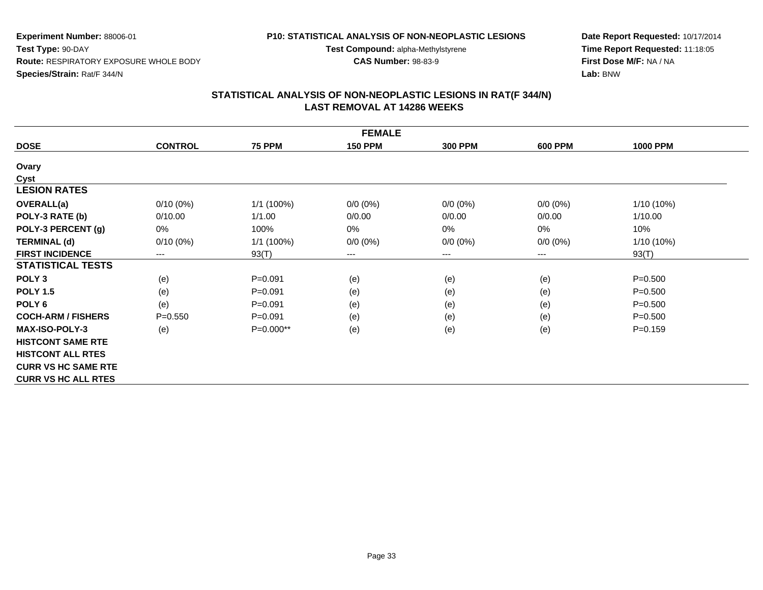#### **P10: STATISTICAL ANALYSIS OF NON-NEOPLASTIC LESIONS**

**Test Compound:** alpha-Methylstyrene

**CAS Number:** 98-83-9

**Date Report Requested:** 10/17/2014**Time Report Requested:** 11:18:05**First Dose M/F:** NA / NA**Lab:** BNW

| <b>FEMALE</b>              |                |               |                |                |                |                 |  |  |  |
|----------------------------|----------------|---------------|----------------|----------------|----------------|-----------------|--|--|--|
| <b>DOSE</b>                | <b>CONTROL</b> | <b>75 PPM</b> | <b>150 PPM</b> | <b>300 PPM</b> | <b>600 PPM</b> | <b>1000 PPM</b> |  |  |  |
| Ovary                      |                |               |                |                |                |                 |  |  |  |
| Cyst                       |                |               |                |                |                |                 |  |  |  |
| <b>LESION RATES</b>        |                |               |                |                |                |                 |  |  |  |
| <b>OVERALL(a)</b>          | $0/10(0\%)$    | 1/1 (100%)    | $0/0 (0\%)$    | $0/0 (0\%)$    | $0/0 (0\%)$    | $1/10(10\%)$    |  |  |  |
| POLY-3 RATE (b)            | 0/10.00        | 1/1.00        | 0/0.00         | 0/0.00         | 0/0.00         | 1/10.00         |  |  |  |
| POLY-3 PERCENT (g)         | 0%             | 100%          | 0%             | 0%             | 0%             | 10%             |  |  |  |
| <b>TERMINAL (d)</b>        | $0/10(0\%)$    | 1/1 (100%)    | $0/0 (0\%)$    | $0/0 (0\%)$    | $0/0 (0\%)$    | 1/10 (10%)      |  |  |  |
| <b>FIRST INCIDENCE</b>     | $---$          | 93(T)         | ---            | ---            | ---            | 93(T)           |  |  |  |
| <b>STATISTICAL TESTS</b>   |                |               |                |                |                |                 |  |  |  |
| POLY <sub>3</sub>          | (e)            | $P = 0.091$   | (e)            | (e)            | (e)            | $P = 0.500$     |  |  |  |
| <b>POLY 1.5</b>            | (e)            | $P = 0.091$   | (e)            | (e)            | (e)            | $P = 0.500$     |  |  |  |
| POLY <sub>6</sub>          | (e)            | $P = 0.091$   | (e)            | (e)            | (e)            | $P = 0.500$     |  |  |  |
| <b>COCH-ARM / FISHERS</b>  | $P = 0.550$    | $P = 0.091$   | (e)            | (e)            | (e)            | $P = 0.500$     |  |  |  |
| <b>MAX-ISO-POLY-3</b>      | (e)            | P=0.000**     | (e)            | (e)            | (e)            | $P=0.159$       |  |  |  |
| <b>HISTCONT SAME RTE</b>   |                |               |                |                |                |                 |  |  |  |
| <b>HISTCONT ALL RTES</b>   |                |               |                |                |                |                 |  |  |  |
| <b>CURR VS HC SAME RTE</b> |                |               |                |                |                |                 |  |  |  |
| <b>CURR VS HC ALL RTES</b> |                |               |                |                |                |                 |  |  |  |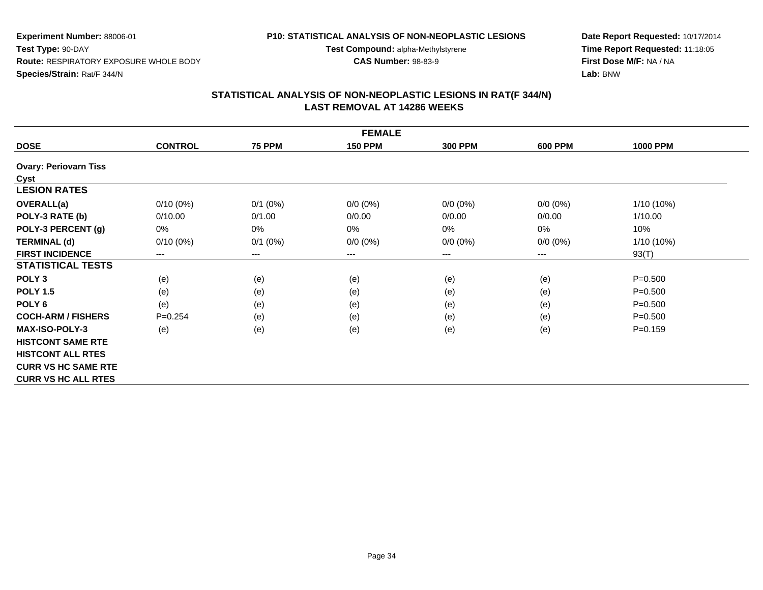# **P10: STATISTICAL ANALYSIS OF NON-NEOPLASTIC LESIONS**

**Test Compound:** alpha-Methylstyrene

**CAS Number:** 98-83-9

**Date Report Requested:** 10/17/2014**Time Report Requested:** 11:18:05**First Dose M/F:** NA / NA**Lab:** BNW

| <b>FEMALE</b>                |                |                        |                |                |                |                 |  |  |  |
|------------------------------|----------------|------------------------|----------------|----------------|----------------|-----------------|--|--|--|
| <b>DOSE</b>                  | <b>CONTROL</b> | <b>75 PPM</b>          | <b>150 PPM</b> | <b>300 PPM</b> | <b>600 PPM</b> | <b>1000 PPM</b> |  |  |  |
| <b>Ovary: Periovarn Tiss</b> |                |                        |                |                |                |                 |  |  |  |
| Cyst                         |                |                        |                |                |                |                 |  |  |  |
| <b>LESION RATES</b>          |                |                        |                |                |                |                 |  |  |  |
| <b>OVERALL(a)</b>            | $0/10(0\%)$    | $0/1$ (0%)             | $0/0 (0\%)$    | $0/0 (0\%)$    | $0/0 (0\%)$    | 1/10 (10%)      |  |  |  |
| POLY-3 RATE (b)              | 0/10.00        | 0/1.00                 | 0/0.00         | 0/0.00         | 0/0.00         | 1/10.00         |  |  |  |
| POLY-3 PERCENT (g)           | $0\%$          | $0\%$                  | $0\%$          | 0%             | 0%             | 10%             |  |  |  |
| <b>TERMINAL (d)</b>          | $0/10(0\%)$    | $0/1$ (0%)             | $0/0 (0\%)$    | $0/0 (0\%)$    | $0/0 (0\%)$    | 1/10 (10%)      |  |  |  |
| <b>FIRST INCIDENCE</b>       | ---            | $\qquad \qquad \cdots$ | $--$           | ---            | ---            | 93(T)           |  |  |  |
| <b>STATISTICAL TESTS</b>     |                |                        |                |                |                |                 |  |  |  |
| POLY <sub>3</sub>            | (e)            | (e)                    | (e)            | (e)            | (e)            | $P = 0.500$     |  |  |  |
| <b>POLY 1.5</b>              | (e)            | (e)                    | (e)            | (e)            | (e)            | $P = 0.500$     |  |  |  |
| POLY 6                       | (e)            | (e)                    | (e)            | (e)            | (e)            | $P = 0.500$     |  |  |  |
| <b>COCH-ARM / FISHERS</b>    | $P=0.254$      | (e)                    | (e)            | (e)            | (e)            | $P = 0.500$     |  |  |  |
| <b>MAX-ISO-POLY-3</b>        | (e)            | (e)                    | (e)            | (e)            | (e)            | $P = 0.159$     |  |  |  |
| <b>HISTCONT SAME RTE</b>     |                |                        |                |                |                |                 |  |  |  |
| <b>HISTCONT ALL RTES</b>     |                |                        |                |                |                |                 |  |  |  |
| <b>CURR VS HC SAME RTE</b>   |                |                        |                |                |                |                 |  |  |  |
| <b>CURR VS HC ALL RTES</b>   |                |                        |                |                |                |                 |  |  |  |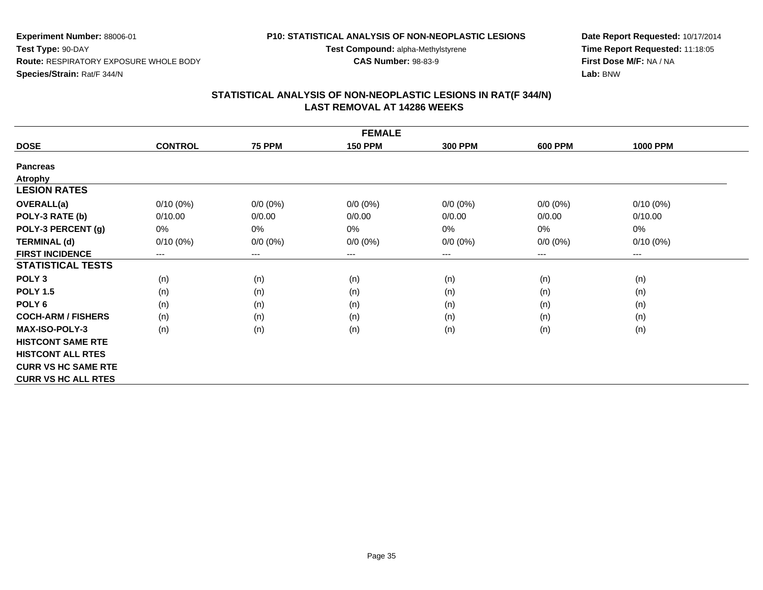#### **P10: STATISTICAL ANALYSIS OF NON-NEOPLASTIC LESIONS**

**Test Compound:** alpha-Methylstyrene

**CAS Number:** 98-83-9

**Date Report Requested:** 10/17/2014**Time Report Requested:** 11:18:05**First Dose M/F:** NA / NA**Lab:** BNW

| <b>FEMALE</b>              |                |               |                |                |                |                                          |  |  |  |
|----------------------------|----------------|---------------|----------------|----------------|----------------|------------------------------------------|--|--|--|
| <b>DOSE</b>                | <b>CONTROL</b> | <b>75 PPM</b> | <b>150 PPM</b> | <b>300 PPM</b> | <b>600 PPM</b> | <b>1000 PPM</b>                          |  |  |  |
| <b>Pancreas</b>            |                |               |                |                |                |                                          |  |  |  |
| <b>Atrophy</b>             |                |               |                |                |                |                                          |  |  |  |
| <b>LESION RATES</b>        |                |               |                |                |                |                                          |  |  |  |
| <b>OVERALL(a)</b>          | $0/10(0\%)$    | $0/0 (0\%)$   | $0/0 (0\%)$    | $0/0 (0\%)$    | $0/0 (0\%)$    | $0/10(0\%)$                              |  |  |  |
| POLY-3 RATE (b)            | 0/10.00        | 0/0.00        | 0/0.00         | 0/0.00         | 0/0.00         | 0/10.00                                  |  |  |  |
| POLY-3 PERCENT (g)         | 0%             | 0%            | 0%             | 0%             | 0%             | 0%                                       |  |  |  |
| <b>TERMINAL (d)</b>        | $0/10(0\%)$    | $0/0 (0\%)$   | $0/0 (0\%)$    | $0/0 (0\%)$    | $0/0 (0\%)$    | $0/10(0\%)$                              |  |  |  |
| <b>FIRST INCIDENCE</b>     | $---$          | $---$         | $---$          | ---            | ---            | $\hspace{0.05cm} \ldots \hspace{0.05cm}$ |  |  |  |
| <b>STATISTICAL TESTS</b>   |                |               |                |                |                |                                          |  |  |  |
| POLY <sub>3</sub>          | (n)            | (n)           | (n)            | (n)            | (n)            | (n)                                      |  |  |  |
| <b>POLY 1.5</b>            | (n)            | (n)           | (n)            | (n)            | (n)            | (n)                                      |  |  |  |
| POLY <sub>6</sub>          | (n)            | (n)           | (n)            | (n)            | (n)            | (n)                                      |  |  |  |
| <b>COCH-ARM / FISHERS</b>  | (n)            | (n)           | (n)            | (n)            | (n)            | (n)                                      |  |  |  |
| <b>MAX-ISO-POLY-3</b>      | (n)            | (n)           | (n)            | (n)            | (n)            | (n)                                      |  |  |  |
| <b>HISTCONT SAME RTE</b>   |                |               |                |                |                |                                          |  |  |  |
| <b>HISTCONT ALL RTES</b>   |                |               |                |                |                |                                          |  |  |  |
| <b>CURR VS HC SAME RTE</b> |                |               |                |                |                |                                          |  |  |  |
| <b>CURR VS HC ALL RTES</b> |                |               |                |                |                |                                          |  |  |  |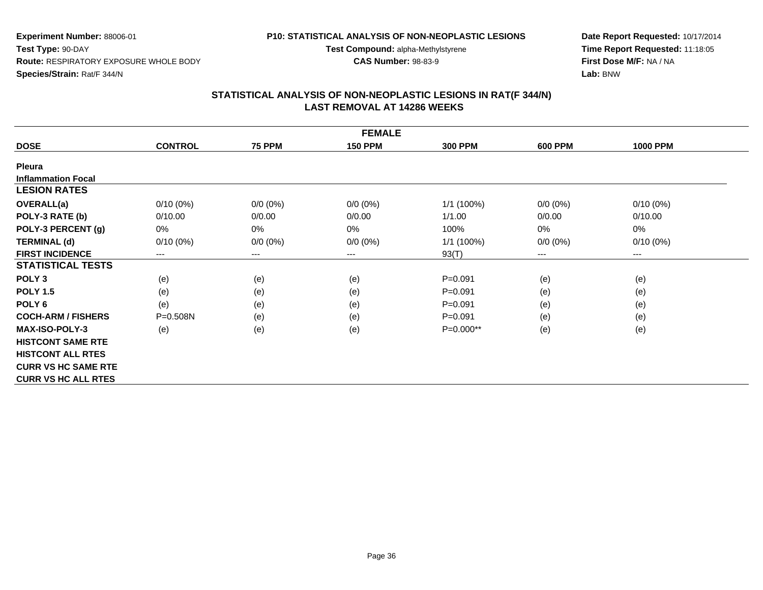# **P10: STATISTICAL ANALYSIS OF NON-NEOPLASTIC LESIONS**

**Test Compound:** alpha-Methylstyrene

**CAS Number:** 98-83-9

**Date Report Requested:** 10/17/2014**Time Report Requested:** 11:18:05**First Dose M/F:** NA / NA**Lab:** BNW

| <b>FEMALE</b>              |                |                            |                |                |                |                 |  |  |  |
|----------------------------|----------------|----------------------------|----------------|----------------|----------------|-----------------|--|--|--|
| <b>DOSE</b>                | <b>CONTROL</b> | <b>75 PPM</b>              | <b>150 PPM</b> | <b>300 PPM</b> | <b>600 PPM</b> | <b>1000 PPM</b> |  |  |  |
| <b>Pleura</b>              |                |                            |                |                |                |                 |  |  |  |
| <b>Inflammation Focal</b>  |                |                            |                |                |                |                 |  |  |  |
| <b>LESION RATES</b>        |                |                            |                |                |                |                 |  |  |  |
| <b>OVERALL(a)</b>          | $0/10(0\%)$    | $0/0 (0\%)$                | $0/0 (0\%)$    | $1/1$ (100%)   | $0/0 (0\%)$    | $0/10(0\%)$     |  |  |  |
| POLY-3 RATE (b)            | 0/10.00        | 0/0.00                     | 0/0.00         | 1/1.00         | 0/0.00         | 0/10.00         |  |  |  |
| POLY-3 PERCENT (g)         | 0%             | 0%                         | $0\%$          | 100%           | 0%             | 0%              |  |  |  |
| <b>TERMINAL (d)</b>        | $0/10(0\%)$    | $0/0 (0\%)$                | $0/0 (0\%)$    | $1/1$ (100%)   | $0/0 (0\%)$    | $0/10(0\%)$     |  |  |  |
| <b>FIRST INCIDENCE</b>     | $---$          | $\qquad \qquad - \qquad -$ | $---$          | 93(T)          | ---            | $--$            |  |  |  |
| <b>STATISTICAL TESTS</b>   |                |                            |                |                |                |                 |  |  |  |
| POLY <sub>3</sub>          | (e)            | (e)                        | (e)            | $P = 0.091$    | (e)            | (e)             |  |  |  |
| <b>POLY 1.5</b>            | (e)            | (e)                        | (e)            | $P = 0.091$    | (e)            | (e)             |  |  |  |
| POLY 6                     | (e)            | (e)                        | (e)            | $P = 0.091$    | (e)            | (e)             |  |  |  |
| <b>COCH-ARM / FISHERS</b>  | $P = 0.508N$   | (e)                        | (e)            | $P = 0.091$    | (e)            | (e)             |  |  |  |
| <b>MAX-ISO-POLY-3</b>      | (e)            | (e)                        | (e)            | $P=0.000**$    | (e)            | (e)             |  |  |  |
| <b>HISTCONT SAME RTE</b>   |                |                            |                |                |                |                 |  |  |  |
| <b>HISTCONT ALL RTES</b>   |                |                            |                |                |                |                 |  |  |  |
| <b>CURR VS HC SAME RTE</b> |                |                            |                |                |                |                 |  |  |  |
| <b>CURR VS HC ALL RTES</b> |                |                            |                |                |                |                 |  |  |  |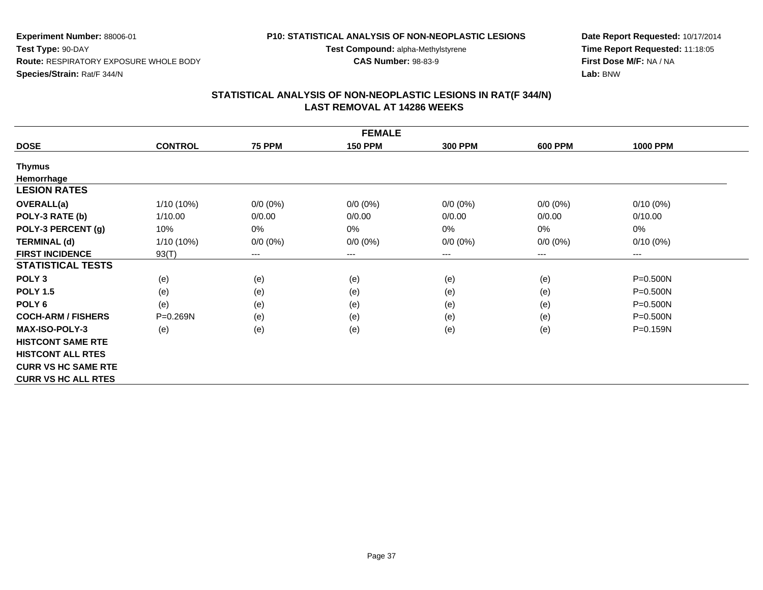#### **P10: STATISTICAL ANALYSIS OF NON-NEOPLASTIC LESIONS**

**Test Compound:** alpha-Methylstyrene

**CAS Number:** 98-83-9

**Date Report Requested:** 10/17/2014**Time Report Requested:** 11:18:05**First Dose M/F:** NA / NA**Lab:** BNW

|                            | <b>FEMALE</b>  |               |                |                |                |                        |  |  |  |  |
|----------------------------|----------------|---------------|----------------|----------------|----------------|------------------------|--|--|--|--|
| <b>DOSE</b>                | <b>CONTROL</b> | <b>75 PPM</b> | <b>150 PPM</b> | <b>300 PPM</b> | <b>600 PPM</b> | <b>1000 PPM</b>        |  |  |  |  |
| Thymus                     |                |               |                |                |                |                        |  |  |  |  |
| Hemorrhage                 |                |               |                |                |                |                        |  |  |  |  |
| <b>LESION RATES</b>        |                |               |                |                |                |                        |  |  |  |  |
| <b>OVERALL(a)</b>          | 1/10 (10%)     | $0/0 (0\%)$   | $0/0 (0\%)$    | $0/0 (0\%)$    | $0/0 (0\%)$    | $0/10(0\%)$            |  |  |  |  |
| POLY-3 RATE (b)            | 1/10.00        | 0/0.00        | 0/0.00         | 0/0.00         | 0/0.00         | 0/10.00                |  |  |  |  |
| POLY-3 PERCENT (g)         | 10%            | 0%            | 0%             | 0%             | $0\%$          | 0%                     |  |  |  |  |
| <b>TERMINAL (d)</b>        | $1/10(10\%)$   | $0/0 (0\%)$   | $0/0 (0\%)$    | $0/0 (0\%)$    | $0/0 (0\%)$    | $0/10(0\%)$            |  |  |  |  |
| <b>FIRST INCIDENCE</b>     | 93(T)          | ---           | $--$           | ---            | ---            | $\qquad \qquad \cdots$ |  |  |  |  |
| <b>STATISTICAL TESTS</b>   |                |               |                |                |                |                        |  |  |  |  |
| POLY <sub>3</sub>          | (e)            | (e)           | (e)            | (e)            | (e)            | $P = 0.500N$           |  |  |  |  |
| <b>POLY 1.5</b>            | (e)            | (e)           | (e)            | (e)            | (e)            | $P = 0.500N$           |  |  |  |  |
| POLY <sub>6</sub>          | (e)            | (e)           | (e)            | (e)            | (e)            | $P = 0.500N$           |  |  |  |  |
| <b>COCH-ARM / FISHERS</b>  | P=0.269N       | (e)           | (e)            | (e)            | (e)            | $P = 0.500N$           |  |  |  |  |
| <b>MAX-ISO-POLY-3</b>      | (e)            | (e)           | (e)            | (e)            | (e)            | P=0.159N               |  |  |  |  |
| <b>HISTCONT SAME RTE</b>   |                |               |                |                |                |                        |  |  |  |  |
| <b>HISTCONT ALL RTES</b>   |                |               |                |                |                |                        |  |  |  |  |
| <b>CURR VS HC SAME RTE</b> |                |               |                |                |                |                        |  |  |  |  |
| <b>CURR VS HC ALL RTES</b> |                |               |                |                |                |                        |  |  |  |  |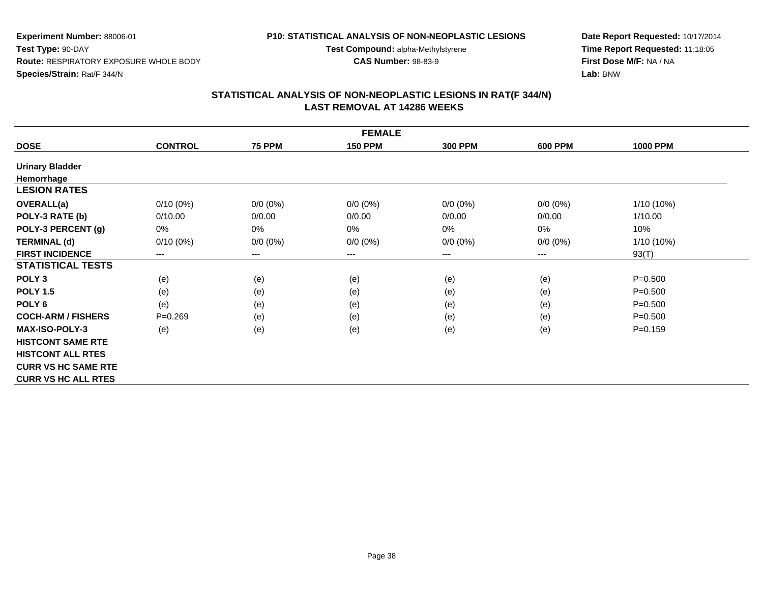#### **P10: STATISTICAL ANALYSIS OF NON-NEOPLASTIC LESIONS**

**Test Compound:** alpha-Methylstyrene

**CAS Number:** 98-83-9

**Date Report Requested:** 10/17/2014**Time Report Requested:** 11:18:05**First Dose M/F:** NA / NA**Lab:** BNW

| <b>FEMALE</b>              |                        |               |                |                |                |                 |  |
|----------------------------|------------------------|---------------|----------------|----------------|----------------|-----------------|--|
| <b>DOSE</b>                | <b>CONTROL</b>         | <b>75 PPM</b> | <b>150 PPM</b> | <b>300 PPM</b> | <b>600 PPM</b> | <b>1000 PPM</b> |  |
| <b>Urinary Bladder</b>     |                        |               |                |                |                |                 |  |
| Hemorrhage                 |                        |               |                |                |                |                 |  |
| <b>LESION RATES</b>        |                        |               |                |                |                |                 |  |
| <b>OVERALL(a)</b>          | $0/10(0\%)$            | $0/0 (0\%)$   | $0/0 (0\%)$    | $0/0 (0\%)$    | $0/0 (0\%)$    | $1/10(10\%)$    |  |
| POLY-3 RATE (b)            | 0/10.00                | 0/0.00        | 0/0.00         | 0/0.00         | 0/0.00         | 1/10.00         |  |
| POLY-3 PERCENT (g)         | 0%                     | 0%            | 0%             | 0%             | $0\%$          | 10%             |  |
| <b>TERMINAL (d)</b>        | $0/10(0\%)$            | $0/0 (0\%)$   | $0/0 (0\%)$    | $0/0 (0\%)$    | $0/0 (0\%)$    | $1/10(10\%)$    |  |
| <b>FIRST INCIDENCE</b>     | $\qquad \qquad \cdots$ | ---           | $--$           | ---            | ---            | 93(T)           |  |
| <b>STATISTICAL TESTS</b>   |                        |               |                |                |                |                 |  |
| POLY <sub>3</sub>          | (e)                    | (e)           | (e)            | (e)            | (e)            | $P = 0.500$     |  |
| <b>POLY 1.5</b>            | (e)                    | (e)           | (e)            | (e)            | (e)            | $P = 0.500$     |  |
| POLY <sub>6</sub>          | (e)                    | (e)           | (e)            | (e)            | (e)            | $P = 0.500$     |  |
| <b>COCH-ARM / FISHERS</b>  | $P=0.269$              | (e)           | (e)            | (e)            | (e)            | $P = 0.500$     |  |
| <b>MAX-ISO-POLY-3</b>      | (e)                    | (e)           | (e)            | (e)            | (e)            | $P = 0.159$     |  |
| <b>HISTCONT SAME RTE</b>   |                        |               |                |                |                |                 |  |
| <b>HISTCONT ALL RTES</b>   |                        |               |                |                |                |                 |  |
| <b>CURR VS HC SAME RTE</b> |                        |               |                |                |                |                 |  |
| <b>CURR VS HC ALL RTES</b> |                        |               |                |                |                |                 |  |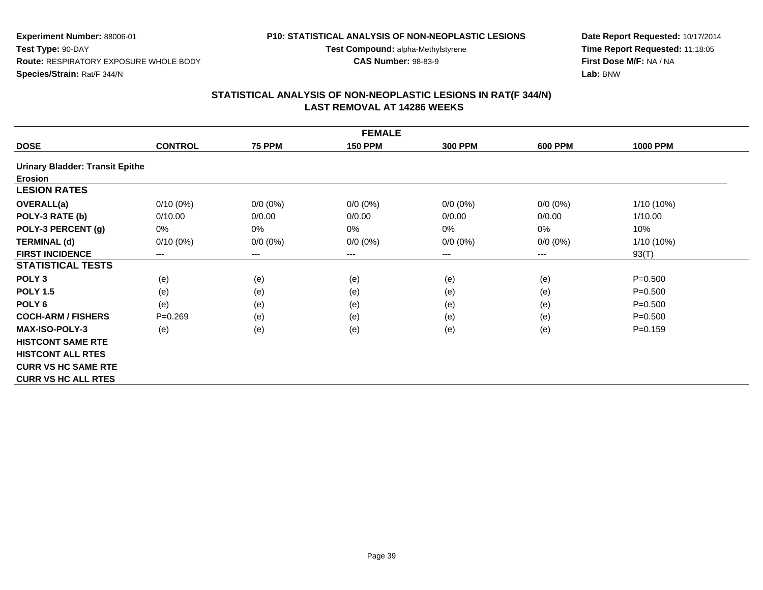# **P10: STATISTICAL ANALYSIS OF NON-NEOPLASTIC LESIONS**

**Test Compound:** alpha-Methylstyrene

**CAS Number:** 98-83-9

**Date Report Requested:** 10/17/2014**Time Report Requested:** 11:18:05**First Dose M/F:** NA / NA**Lab:** BNW

| <b>FEMALE</b>                          |                |               |                |                |                |                 |  |
|----------------------------------------|----------------|---------------|----------------|----------------|----------------|-----------------|--|
| <b>DOSE</b>                            | <b>CONTROL</b> | <b>75 PPM</b> | <b>150 PPM</b> | <b>300 PPM</b> | <b>600 PPM</b> | <b>1000 PPM</b> |  |
| <b>Urinary Bladder: Transit Epithe</b> |                |               |                |                |                |                 |  |
| <b>Erosion</b>                         |                |               |                |                |                |                 |  |
| <b>LESION RATES</b>                    |                |               |                |                |                |                 |  |
| <b>OVERALL(a)</b>                      | $0/10(0\%)$    | $0/0 (0\%)$   | $0/0 (0\%)$    | $0/0 (0\%)$    | $0/0 (0\%)$    | 1/10 (10%)      |  |
| POLY-3 RATE (b)                        | 0/10.00        | 0/0.00        | 0/0.00         | 0/0.00         | 0/0.00         | 1/10.00         |  |
| POLY-3 PERCENT (g)                     | 0%             | 0%            | 0%             | 0%             | $0\%$          | 10%             |  |
| <b>TERMINAL (d)</b>                    | $0/10(0\%)$    | $0/0 (0\%)$   | $0/0 (0\%)$    | $0/0 (0\%)$    | $0/0 (0\%)$    | 1/10 (10%)      |  |
| <b>FIRST INCIDENCE</b>                 | $---$          | $--$          | ---            | ---            | $---$          | 93(T)           |  |
| <b>STATISTICAL TESTS</b>               |                |               |                |                |                |                 |  |
| POLY <sub>3</sub>                      | (e)            | (e)           | (e)            | (e)            | (e)            | $P = 0.500$     |  |
| <b>POLY 1.5</b>                        | (e)            | (e)           | (e)            | (e)            | (e)            | $P = 0.500$     |  |
| POLY <sub>6</sub>                      | (e)            | (e)           | (e)            | (e)            | (e)            | $P = 0.500$     |  |
| <b>COCH-ARM / FISHERS</b>              | $P = 0.269$    | (e)           | (e)            | (e)            | (e)            | $P = 0.500$     |  |
| <b>MAX-ISO-POLY-3</b>                  | (e)            | (e)           | (e)            | (e)            | (e)            | $P = 0.159$     |  |
| <b>HISTCONT SAME RTE</b>               |                |               |                |                |                |                 |  |
| <b>HISTCONT ALL RTES</b>               |                |               |                |                |                |                 |  |
| <b>CURR VS HC SAME RTE</b>             |                |               |                |                |                |                 |  |
| <b>CURR VS HC ALL RTES</b>             |                |               |                |                |                |                 |  |